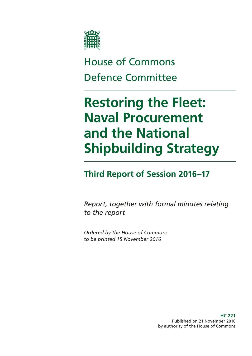

# House of Commons Defence Committee

# **Restoring the Fleet: Naval Procurement and the National Shipbuilding Strategy**

### **Third Report of Session 2016–17**

*Report, together with formal minutes relating to the report*

*Ordered by the House of Commons to be printed 15 November 2016*

> **HC 221** Published on 21 November 2016 by authority of the House of Commons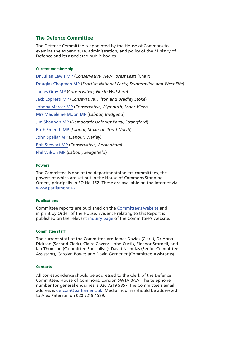#### **The Defence Committee**

The Defence Committee is appointed by the House of Commons to examine the expenditure, administration, and policy of the Ministry of Defence and its associated public bodies.

#### **Current membership**

[Dr Julian Lewis MP](http://www.parliament.uk/biographies/commons/dr-julian-lewis/54) (*Conservative, New Forest East*) (Chair) [Douglas Chapman MP](http://www.parliament.uk/biographies/commons/douglas-chapman/4402) (*Scottish National Party, Dunfermline and West Fife*) [James Gray MP](http://www.parliament.uk/biographies/commons/mr-james-gray/261) (*Conservative, North Wiltshire*) [Jack Lopresti MP](https://www.parliament.uk/biographies/commons/jack-lopresti/3989) (*Consevative, Filton and Bradley Stoke*) [Johnny Mercer MP](http://www.parliament.uk/biographies/commons/johnny-mercer/4485) (*Conservative, Plymouth, Moor View*) [Mrs Madeleine Moon MP](http://www.parliament.uk/biographies/commons/mrs-madeleine-moon/1490) (*Labour, Bridgend*) [Jim Shannon MP](http://www.parliament.uk/biographies/commons/jim-shannon/4131) (*Democratic Unionist Party, Strangford*) [Ruth Smeeth MP](http://www.parliament.uk/biographies/commons/ruth-smeeth/4508) (*Labour, Stoke-on-Trent North*) [John Spellar MP](http://www.parliament.uk/biographies/commons/john-spellar/318) (*Labour, Warley*) [Bob Stewart MP](http://www.parliament.uk/biographies/commons/bob-stewart/3919) (*Conservative, Beckenham*) [Phil Wilson MP](http://www.parliament.uk/biographies/commons/phil-wilson/1603) (*Labour, Sedgefield*)

#### **Powers**

The Committee is one of the departmental select committees, the powers of which are set out in the House of Commons Standing Orders, principally in SO No.152. These are available on the internet via [www.parliament.uk](http://www.parliament.uk).

#### **Publications**

Committee reports are published on the [Committee's website](http://www.parliament.uk/business/committees/committees-a-z/commons-select/defence-committee/) and in print by Order of the House. Evidence relating to this Report is published on the relevant [inquiry page](https://www.parliament.uk/business/committees/committees-a-z/commons-select/defence-committee/inquiries/parliament-2015/royal-navy-type-26-and-45-16-17/) of the Committee's website.

#### **Committee staff**

The current staff of the Committee are James Davies (Clerk), Dr Anna Dickson (Second Clerk), Claire Cozens, John Curtis, Eleanor Scarnell, and Ian Thomson (Committee Specialists), David Nicholas (Senior Committee Assistant), Carolyn Bowes and David Gardener (Committee Assistants).

#### **Contacts**

All correspondence should be addressed to the Clerk of the Defence Committee, House of Commons, London SW1A 0AA. The telephone number for general enquiries is 020 7219 5857; the Committee's email address is [defcom@parliament.uk.](mailto:defcom@parliament.uk) Media inquiries should be addressed to Alex Paterson on 020 7219 1589.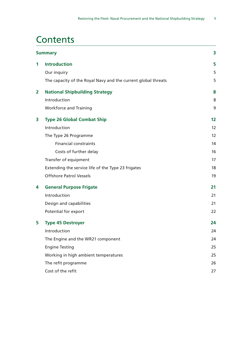### **Contents**

|                | <b>Summary</b>                                                | 3  |
|----------------|---------------------------------------------------------------|----|
| 1              | <b>Introduction</b>                                           | 5  |
|                | Our inquiry                                                   | 5  |
|                | The capacity of the Royal Navy and the current global threats | 5  |
| $\overline{2}$ | <b>National Shipbuilding Strategy</b>                         | 8  |
|                | Introduction                                                  | 8  |
|                | <b>Workforce and Training</b>                                 | 9  |
| 3              | <b>Type 26 Global Combat Ship</b>                             | 12 |
|                | Introduction                                                  | 12 |
|                | The Type 26 Programme                                         | 12 |
|                | <b>Financial constraints</b>                                  | 14 |
|                | Costs of further delay                                        | 16 |
|                | Transfer of equipment                                         | 17 |
|                | Extending the service life of the Type 23 frigates            | 18 |
|                | <b>Offshore Patrol Vessels</b>                                | 19 |
| 4              | <b>General Purpose Frigate</b>                                | 21 |
|                | Introduction                                                  | 21 |
|                | Design and capabilities                                       | 21 |
|                | Potential for export                                          | 22 |
| 5              | <b>Type 45 Destroyer</b>                                      | 24 |
|                | Introduction                                                  | 24 |
|                | The Engine and the WR21 component                             | 24 |
|                | <b>Engine Testing</b>                                         | 25 |
|                | Working in high ambient temperatures                          | 25 |
|                | The refit programme                                           | 26 |
|                | Cost of the refit                                             | 27 |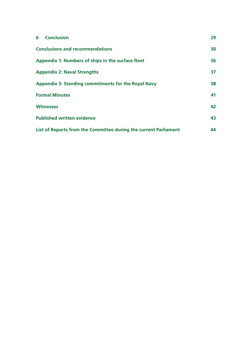| <b>6</b> Conclusion                                              | 29 |
|------------------------------------------------------------------|----|
| <b>Conclusions and recommendations</b>                           | 30 |
| Appendix 1: Numbers of ships in the surface fleet                | 36 |
| <b>Appendix 2: Naval Strengths</b>                               | 37 |
| Appendix 3: Standing commitments for the Royal Navy              | 38 |
| <b>Formal Minutes</b>                                            | 41 |
| <b>Witnesses</b>                                                 | 42 |
| <b>Published written evidence</b>                                | 43 |
| List of Reports from the Committee during the current Parliament | 44 |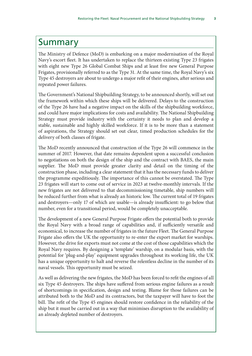### <span id="page-4-0"></span>Summary

The Ministry of Defence (MoD) is embarking on a major modernisation of the Royal Navy's escort fleet. It has undertaken to replace the thirteen existing Type 23 frigates with eight new Type 26 Global Combat Ships and at least five new General Purpose Frigates, provisionally referred to as the Type 31. At the same time, the Royal Navy's six Type 45 destroyers are about to undergo a major refit of their engines, after serious and repeated power failures.

The Government's National Shipbuilding Strategy, to be announced shortly, will set out the framework within which these ships will be delivered. Delays to the construction of the Type 26 have had a negative impact on the skills of the shipbuilding workforce, and could have major implications for costs and availability. The National Shipbuilding Strategy must provide industry with the certainty it needs to plan and develop a stable, sustainable and highly skilled workforce. If it is to be more than a statement of aspirations, the Strategy should set out clear, timed production schedules for the delivery of both classes of frigate.

The MoD recently announced that construction of the Type 26 will commence in the summer of 2017. However, that date remains dependent upon a successful conclusion to negotiations on both the design of the ship and the contract with BAES, the main supplier. The MoD must provide greater clarity and detail on the timing of the construction phase, including a clear statement that it has the necessary funds to deliver the programme expeditiously. The importance of this cannot be overstated. The Type 23 frigates will start to come out of service in 2023 at twelve-monthly intervals. If the new frigates are not delivered to that decommissioning timetable, ship numbers will be reduced further from what is already an historic low. The current total of 19 frigates and destroyers—only 17 of which are usable—is already insufficient: to go below that number, even for a transitional period, would be completely unacceptable.

The development of a new General Purpose Frigate offers the potential both to provide the Royal Navy with a broad range of capabilities and, if sufficiently versatile and economical, to increase the number of frigates in the future Fleet. The General Purpose Frigate also offers the UK the opportunity to re-enter the export market for warships. However, the drive for exports must not come at the cost of those capabilities which the Royal Navy requires. By designing a 'template' warship, on a modular basis, with the potential for 'plug-and-play' equipment upgrades throughout its working life, the UK has a unique opportunity to halt and reverse the relentless decline in the number of its naval vessels. This opportunity must be seized.

As well as delivering the new frigates, the MoD has been forced to refit the engines of all six Type 45 destroyers. The ships have suffered from serious engine failures as a result of shortcomings in specification, design and testing. Blame for those failures can be attributed both to the MoD and its contractors, but the taxpayer will have to foot the bill. The refit of the Type 45 engines should restore confidence in the reliability of the ship but it must be carried out in a way that minimises disruption to the availability of an already depleted number of destroyers.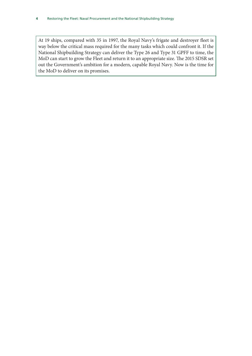At 19 ships, compared with 35 in 1997, the Royal Navy's frigate and destroyer fleet is way below the critical mass required for the many tasks which could confront it. If the National Shipbuilding Strategy can deliver the Type 26 and Type 31 GPFF to time, the MoD can start to grow the Fleet and return it to an appropriate size. The 2015 SDSR set out the Government's ambition for a modern, capable Royal Navy. Now is the time for the MoD to deliver on its promises.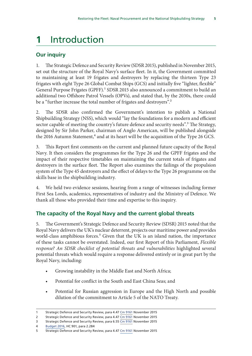## <span id="page-6-0"></span>**1** Introduction

### **Our inquiry**

1. The Strategic Defence and Security Review (SDSR 2015), published in November 2015, set out the structure of the Royal Navy's surface fleet. In it, the Government committed to maintaining at least 19 frigates and destroyers by replacing the thirteen Type 23 frigates with eight Type 26 Global Combat Ships (GCS) and initially five "lighter, flexible" General Purpose Frigates (GPFF).<sup>1</sup> SDSR 2015 also announced a commitment to build an additional two Offshore Patrol Vessels (OPVs), and stated that, by the 2030s, there could be a "further increase the total number of frigates and destroyers".<sup>2</sup>

2. The SDSR also confirmed the Government's intention to publish a National Shipbuilding Strategy (NSS), which would "lay the foundations for a modern and efficient sector capable of meeting the country's future defence and security needs".<sup>3</sup> The Strategy, designed by Sir John Parker, chairman of Anglo American, will be published alongside the 2016 Autumn Statement,<sup>4</sup> and at its heart will be the acquisition of the Type 26 GCS.

3. This Report first comments on the current and planned future capacity of the Royal Navy. It then considers the programmes for the Type 26 and the GPFF frigates and the impact of their respective timetables on maintaining the current totals of frigates and destroyers in the surface fleet. The Report also examines the failings of the propulsion system of the Type 45 destroyers and the effect of delays to the Type 26 programme on the skills base in the shipbuilding industry.

4. We held two evidence sessions, hearing from a range of witnesses including former First Sea Lords, academics, representatives of industry and the Ministry of Defence. We thank all those who provided their time and expertise to this inquiry.

### **The capacity of the Royal Navy and the current global threats**

5. The Government's Strategic Defence and Security Review (SDSR) 2015 noted that the Royal Navy delivers the UK's nuclear deterrent, projects our maritime power and provides world-class amphibious forces.<sup>5</sup> Given that the UK is an island nation, the importance of these tasks cannot be overstated. Indeed, our first Report of this Parliament, *Flexible response? An SDSR checklist of potential threats and vulnerabilities* highlighted several potential threats which would require a response delivered entirely or in great part by the Royal Navy, including:

- Growing instability in the Middle East and North Africa;
- Potential for conflict in the South and East China Seas; and
- Potential for Russian aggression in Europe and the High North and possible dilution of the commitment to Article 5 of the NATO Treaty.

<sup>1</sup> Strategic Defence and Security Review, para 4.47 [Cm 9161](https://www.gov.uk/government/uploads/system/uploads/attachment_data/file/555607/2015_Strategic_Defence_and_Security_Review.pdf) November 2015

<sup>2</sup> Strategic Defence and Security Review, para 4.47 [Cm 9161](https://www.gov.uk/government/uploads/system/uploads/attachment_data/file/555607/2015_Strategic_Defence_and_Security_Review.pdf) November 2015

<sup>3</sup> Strategic Defence and Security Review, para 6.55 [Cm 9161](https://www.gov.uk/government/uploads/system/uploads/attachment_data/file/555607/2015_Strategic_Defence_and_Security_Review.pdf) November 2015

<sup>4</sup> [Budget 2016,](https://www.gov.uk/government/uploads/system/uploads/attachment_data/file/508193/HMT_Budget_2016_Web_Accessible.pdf) HC 901, para 2.284

<sup>5</sup> Strategic Defence and Security Review, para 4.47 [Cm 9161](https://www.gov.uk/government/uploads/system/uploads/attachment_data/file/555607/2015_Strategic_Defence_and_Security_Review.pdf) November 2015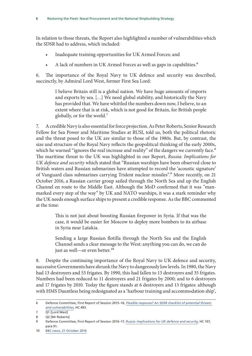In relation to those threats, the Report also highlighted a number of vulnerabilities which the SDSR had to address, which included:

- Inadequate training opportunities for UK Armed Forces; and
- A lack of numbers in UK Armed Forces as well as gaps in capabilities.<sup>6</sup>

6. The importance of the Royal Navy to UK defence and security was described, succinctly, by Admiral Lord West, former First Sea Lord:

> I believe Britain still is a global nation. We have huge amounts of imports and exports by sea. […] We need global stability, and historically the Navy has provided that. We have whittled the numbers down now, I believe, to an extent where that is at risk, which is not good for Britain, for British people globally, or for the world.7

7. A credible Navy is also essential for force projection. As Peter Roberts, Senior Research Fellow for Sea Power and Maritime Studies at RUSI, told us, both the political rhetoric and the threat posed to the UK are similar to those of the 1980s. But, by contrast, the size and structure of the Royal Navy reflects the geopolitical thinking of the early 2000s, which he warned "ignores the real increase and reality" of the dangers we currently face.<sup>8</sup> The maritime threat to the UK was highlighted in our Report, *Russia: Implications for UK defence and security* which stated that "Russian warships have been observed close to British waters and Russian submarines have attempted to record the 'acoustic signature' of Vanguard class submarines carrying Trident nuclear missiles".9 More recently, on 21 October 2016, a Russian carrier group sailed through the North Sea and up the English Channel en route to the Middle East. Although the MoD confirmed that it was "manmarked every step of the way" by UK and NATO warships, it was a stark reminder why the UK needs enough surface ships to present a credible response. As the BBC commented at the time:

> This is not just about boosting Russian firepower in Syria. If that was the case, it would be easier for Moscow to deploy more bombers to its airbase in Syria near Latakia.

> Sending a large Russian flotilla through the North Sea and the English Channel sends a clear message to the West: anything you can do, we can do just as well-or even better.<sup>10</sup>

8. Despite the continuing importance of the Royal Navy to UK defence and security, successive Governments have shrunk the Navy to dangerously low levels. In 1980, the Navy had 13 destroyers and 53 frigates. By 1990, this had fallen to 13 destroyers and 35 frigates. Numbers had been reduced to 11 destroyers and 21 frigates by 2000; and to 6 destroyers and 17 frigates by 2010. Today the figure stands at 6 destroyers and 13 frigates: although with HMS Dauntless being redesignated as a 'harbour training and accommodation ship',

<sup>6</sup> Defence Committee, First Report of Session 2015–16, *[Flexible response? An SDSR checklist of potential threats](http://www.publications.parliament.uk/pa/cm201516/cmselect/cmdfence/493/493.pdf)  [and vulnerabilities](http://www.publications.parliament.uk/pa/cm201516/cmselect/cmdfence/493/493.pdf)*, HC 493.

<sup>7</sup> Q1 [Lord West]

<sup>8</sup> Q2 [Mr Roberts]

<sup>9</sup> Defence Committee, First Report of Session 2016–17, *[Russia: Implications for UK defence and security](http://www.publications.parliament.uk/pa/cm201617/cmselect/cmdfence/107/107.pdf)*, [HC 107,](http://www.publications.parliament.uk/pa/cm201617/cmselect/cmdfence/107/107.pdf) para 91.

<sup>10</sup> [BBC news, 21 October 2016](http://www.bbc.co.uk/news/uk-37725327)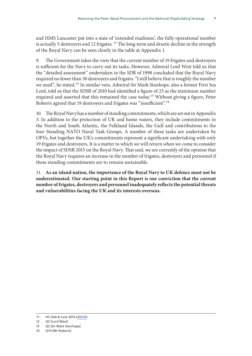and HMS Lancaster put into a state of 'extended readiness', the fully operational number is actually 5 destroyers and 12 frigates.<sup>11</sup> The long-term and drastic decline in the strength of the Royal Navy can be seen clearly in the table at Appendix 1.

9. The Government takes the view that the current number of 19 frigates and destroyers is sufficient for the Navy to carry out its tasks. However, Admiral Lord West told us that the "detailed assessment" undertaken in the SDR of 1998 concluded that the Royal Navy required no fewer than 30 destroyers and frigates. "I still believe that is roughly the number we need", he stated.12 In similar vein, Admiral Sir Mark Stanhope, also a former First Sea Lord, told us that the SDSR of 2010 had identified a figure of 23 as the minimum number required and asserted that this remained the case today.<sup>13</sup> Without giving a figure, Peter Roberts agreed that 19 destroyers and frigates was "insufficient".14

10. The Royal Navy has a number of standing commitments, which are set out in Appendix 3. In addition to the protection of UK and home waters, they include commitments in the North and South Atlantic, the Falkland Islands, the Gulf and contributions to the four Standing NATO Naval Task Groups. A number of these tasks are undertaken by OPVs, but together the UK's commitments represent a significant undertaking with only 19 frigates and destroyers**.** It is a matter to which we will return when we come to consider the impact of SDSR 2015 on the Royal Navy. That said, we are currently of the opinion that the Royal Navy requires an increase in the number of frigates, destroyers and personnel if these standing commitments are to remain sustainable.

11. **As an island nation, the importance of the Royal Navy to UK defence must not be underestimated. Our starting point in this Report is our conviction that the current number of frigates, destroyers and personnel inadequately reflects the potential threats and vulnerabilities facing the UK and its interests overseas.**

<sup>11</sup> HC Deb 8 June 2016 [\(40030](http://www.parliament.uk/written-questions-answers-statements/written-question/commons/2016-06-08/40030))

<sup>12</sup> Q2 [Lord West]

<sup>13</sup> Q2 [Sir Mark Stanhope]

<sup>14</sup> Q10 [Mr Roberts]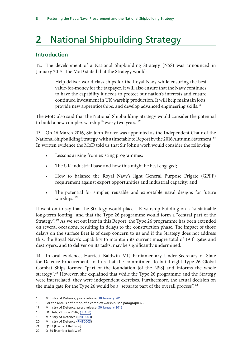## <span id="page-9-0"></span>**2** National Shipbuilding Strategy

#### **Introduction**

12. The development of a National Shipbuilding Strategy (NSS) was announced in January 2015. The MoD stated that the Strategy would:

> Help deliver world class ships for the Royal Navy while ensuring the best value-for-money for the taxpayer. It will also ensure that the Navy continues to have the capability it needs to protect our nation's interests and ensure continued investment in UK warship production. It will help maintain jobs, provide new apprenticeships, and develop advanced engineering skills.15

The MoD also said that the National Shipbuilding Strategy would consider the potential to build a new complex warship<sup>16</sup> every two years.<sup>17</sup>

13. On 16 March 2016, Sir John Parker was appointed as the Independent Chair of the National Shipbuilding Strategy, with a timetable to Report by the 2016 Autumn Statement.<sup>18</sup> In written evidence the MoD told us that Sir John's work would consider the following:

- Lessons arising from existing programmes;
- The UK industrial base and how this might be best engaged;
- How to balance the Royal Navy's light General Purpose Frigate (GPFF) requirement against export opportunities and industrial capacity; and
- The potential for simpler, reusable and exportable naval designs for future warships.<sup>19</sup>

It went on to say that the Strategy would place UK warship building on a "sustainable long-term footing" and that the Type 26 programme would form a "central part of the Strategy".20 As we set out later in this Report, the Type 26 programme has been extended on several occasions, resulting in delays to the construction phase. The impact of those delays on the surface fleet is of deep concern to us and if the Strategy does not address this, the Royal Navy's capability to maintain its current meagre total of 19 frigates and destroyers, and to deliver on its tasks, may be significantly undermined.

14. In oral evidence, Harriett Baldwin MP, Parliamentary Under-Secretary of State for Defence Procurement, told us that the commitment to build eight Type 26 Global Combat Ships formed "part of the foundation [of the NSS] and informs the whole strategy".<sup>21</sup> However, she explained that while the Type 26 programme and the Strategy were interrelated, they were independent exercises. Furthermore, the actual decision on the main gate for the Type 26 would be a "separate part of the overall process".<sup>22</sup>

<sup>15</sup> Ministry of Defence, press release, [30 January 2015](https://www.gov.uk/government/news/plans-to-deliver-the-most-modern-navy-in-the-world).

<sup>16</sup> For the MoD's definition of a complex warship, see paragraph 66.

<sup>17</sup> Ministry of Defence, press release, [30 January 2015](https://www.gov.uk/government/news/plans-to-deliver-the-most-modern-navy-in-the-world)

<sup>18</sup> HC Deb, 29 June 2016, [\(35480\)](http://www.parliament.uk/business/publications/written-questions-answers-statements/written-question/Commons/2016-06-29/41500)

<sup>19</sup> Ministry of Defence ([RNT0003\)](http://data.parliament.uk/writtenevidence/committeeevidence.svc/evidencedocument/defence-committee/naval-procurement-type-26-and-type-45/written/35190.html)

<sup>20</sup> Ministry of Defence ([RNT0003\)](http://data.parliament.uk/writtenevidence/committeeevidence.svc/evidencedocument/defence-committee/naval-procurement-type-26-and-type-45/written/35190.html)

<sup>21</sup> Q137 [Harriett Baldwin]

<sup>22</sup> Q139 [Harriett Baldwin]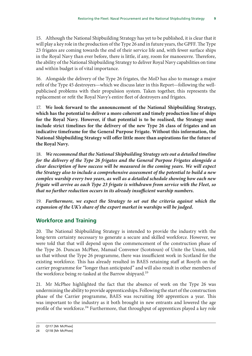<span id="page-10-0"></span>15. Although the National Shipbuilding Strategy has yet to be published, it is clear that it will play a key role in the production of the Type 26 and in future years, the GPFF. The Type 23 frigates are coming towards the end of their service life and, with fewer surface ships in the Royal Navy than ever before, there is little, if any, room for manoeuvre. Therefore, the ability of the National Shipbuilding Strategy to deliver Royal Navy capabilities on time and within budget is of vital importance.

16. Alongside the delivery of the Type 26 frigates, the MoD has also to manage a major refit of the Type 45 destroyers—which we discuss later in this Report—following the wellpublicised problems with their propulsion system. Taken together, this represents the replacement or refit the Royal Navy's entire fleet of destroyers and frigates.

17. **We look forward to the announcement of the National Shipbuilding Strategy, which has the potential to deliver a more coherent and timely production line of ships for the Royal Navy. However, if that potential is to be realised, the Strategy must include strict timelines for the delivery of the new Type 26 class of frigates and an indicative timeframe for the General Purpose Frigate. Without this information, the National Shipbuilding Strategy will offer little more than aspirations for the future of the Royal Navy.**

18. *We recommend that the National Shipbuilding Strategy sets out a detailed timeline for the delivery of the Type 26 frigates and the General Purpose Frigates alongside a clear description of how success will be measured in the coming years***.** *We will expect the Strategy also to include a comprehensive assessment of the potential to build a new complex warship every two years, as well as a detailed schedule showing how each new frigate will arrive as each Type 23 frigate is withdrawn from service with the Fleet, so that no further reduction occurs in its already insufficient warship numbers.*

19. *Furthermore, we expect the Strategy to set out the criteria against which the expansion of the UK's share of the export market in warships will be judged.*

### **Workforce and Training**

20. The National Shipbuilding Strategy is intended to provide the industry with the long-term certainty necessary to generate a secure and skilled workforce. However, we were told that that will depend upon the commencement of the construction phase of the Type 26. Duncan McPhee, Manual Convenor (Scotstoun) of Unite the Union, told us that without the Type 26 programme, there was insufficient work in Scotland for the existing workforce. This has already resulted in BAES retaining staff at Rosyth on the carrier programme for "longer than anticipated" and will also result in other members of the workforce being re-tasked at the Barrow shipyard.<sup>23</sup>

21. Mr McPhee highlighted the fact that the absence of work on the Type 26 was undermining the ability to provide apprenticeships. Following the start of the construction phase of the Carrier programme, BAES was recruiting 100 apprentices a year. This was important to the industry as it both brought in new entrants and lowered the age profile of the workforce.<sup>24</sup> Furthermore, that throughput of apprentices played a key role

<sup>23</sup> Q117 [Mr McPhee]

<sup>24</sup> Q118 [Mr McPhee]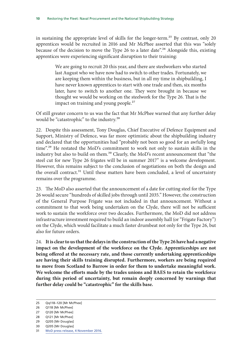in sustaining the appropriate level of skills for the longer-term.<sup>25</sup> By contrast, only 20 apprentices would be recruited in 2016 and Mr McPhee asserted that this was "solely because of the decision to move the Type 26 to a later date".<sup>26</sup> Alongside this, existing apprentices were experiencing significant disruption to their training:

> We are going to recruit 20 this year, and there are steelworkers who started last August who we have now had to switch to other trades. Fortunately, we are keeping them within the business, but in all my time in shipbuilding, I have never known apprentices to start with one trade and then, six months later, have to switch to another one. They were brought in because we thought we would be working on the steelwork for the Type 26. That is the impact on training and young people.<sup>27</sup>

Of still greater concern to us was the fact that Mr McPhee warned that any further delay would be "catastrophic" to the industry.<sup>28</sup>

22. Despite this assessment, Tony Douglas, Chief Executive of Defence Equipment and Support, Ministry of Defence, was far more optimistic about the shipbuilding industry and declared that the opportunities had "probably not been so good for an awfully long time".29 He restated the MoD's commitment to work not only to sustain skills in the industry but also to build on them.<sup>30</sup> Clearly, the MoD's recent announcement that "the steel cut for new Type 26 frigates will be in summer 2017" is a welcome development. However, this remains subject to the conclusion of negotiations on both the design and the overall contract.<sup>31</sup> Until these matters have been concluded, a level of uncertainty remains over the programme.

23. The MoD also asserted that the announcement of a date for cutting steel for the Type 26 would secure "hundreds of skilled jobs through until 2035." However, the construction of the General Purpose Frigate was not included in that announcement. Without a commitment to that work being undertaken on the Clyde, there will not be sufficient work to sustain the workforce over two decades. Furthermore, the MoD did not address infrastructure investment required to build an indoor assembly hall (or "Frigate Factory") on the Clyde, which would facilitate a much faster drumbeat not only for the Type 26, but also for future orders.

24. **It is clear to us that the delays in the construction of the Type 26 have had a negative impact on the development of the workforce on the Clyde. Apprenticeships are not being offered at the necessary rate, and those currently undertaking apprenticeships are having their skills training disrupted. Furthermore, workers are being required to move from Scotland to Barrow in order for them to undertake meaningful work. We welcome the efforts made by the trades unions and BAES to retain the workforce during this period of uncertainty, but remain deeply concerned by warnings that further delay could be "catastrophic" for the skills base.**

<sup>25</sup> Qq118–120 [Mr McPhee]

<sup>26</sup> Q118 [Mr McPhee]

<sup>27</sup> Q120 [Mr McPhee]

<sup>28</sup> Q121 [Mr McPhee]

<sup>29</sup> Q205 [Mr Douglas]

<sup>30</sup> Q205 [Mr Douglas]

<sup>31</sup> [MoD press release, 4 November 2016.](https://www.gov.uk/government/news/defence-secretary-confirms-summer-start-for-type-26-frigates)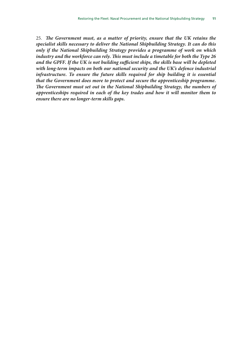25. *The Government must, as a matter of priority, ensure that the UK retains the specialist skills necessary to deliver the National Shipbuilding Strategy. It can do this only if the National Shipbuilding Strategy provides a programme of work on which industry and the workforce can rely. This must include a timetable for both the Type 26 and the GPFF. If the UK is not building sufficient ships, the skills base will be depleted with long-term impacts on both our national security and the UK's defence industrial*  infrastructure. To ensure the future skills required for ship building it is essential *that the Government does more to protect and secure the apprenticeship programme. The Government must set out in the National Shipbuilding Strategy, the numbers of apprenticeships required in each of the key trades and how it will monitor them to ensure there are no longer-term skills gaps.*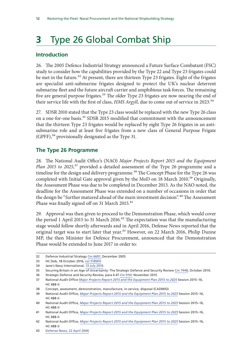## <span id="page-13-0"></span>**3** Type 26 Global Combat Ship

### **Introduction**

26. The 2005 Defence Industrial Strategy announced a Future Surface Combatant (FSC) study to consider how the capabilities provided by the Type 22 and Type 23 frigates could be met in the future.<sup>32</sup> At present, there are thirteen Type 23 frigates. Eight of the frigates are specialist anti-submarine frigates designed to protect the UK's nuclear deterrent submarine fleet and the future aircraft carrier and amphibious task forces. The remaining five are general purpose frigates.<sup>33</sup> The older Type 23 frigates are now nearing the end of their service life with the first of class, *HMS Argyll*, due to come out of service in 2023.<sup>34</sup>

27. SDSR 2010 stated that the Type 23 class would be replaced with the new Type 26 class on a one-for-one basis.<sup>35</sup> SDSR 2015 modified that commitment with the announcement that the thirteen Type 23 frigates would be replaced by eight Type 26 frigates in an antisubmarine role and at least five frigates from a new class of General Purpose Frigate (GPFF),<sup>36</sup> provisionally designated as the Type 31.

#### **The Type 26 Programme**

28. The National Audit Office's (NAO) *Major Projects Report 2015 and the Equipment Plan 2015 to 2025*,<sup>37</sup> provided a detailed assessment of the Type 26 programme and a timeline for the design and delivery programme.<sup>38</sup> The Concept Phase for the Type 26 was completed with Initial Gate approval given by the MoD on 18 March 2010.<sup>39</sup> Originally, the Assessment Phase was due to be completed in December 2013. As the NAO noted, the deadline for the Assessment Phase was extended on a number of occasions in order that the design be "further matured ahead of the main investment decision".<sup>40</sup> The Assessment Phase was finally signed off on 31 March 2015.<sup>41</sup>

29. Approval was then given to proceed to the Demonstration Phase, which would cover the period 1 April 2015 to 31 March 2016.<sup>42</sup> The expectation was that the manufacturing stage would follow shortly afterwards and in April 2016, Defense News reported that the original target was to start later that year.<sup>43</sup> However, on 22 March 2016, Philip Dunne MP, the then Minister for Defence Procurement, announced that the Demonstration Phase would be extended to June 2017 in order to:

<sup>32</sup> Defence Industrial Strategy [Cm 6697](http://webarchive.nationalarchives.gov.uk/20121026065214/http:/www.mod.uk/NR/rdonlyres/F530ED6C-F80C-4F24-8438-0B587CC4BF4D/0/def_industrial_strategy_wp_cm6697.pdf), December 2005

<sup>33</sup> HC Deb, 18 October 2016, [col 318WH](https://hansard.parliament.uk/commons/2016-10-18/debates/8FD3C123-5B5C-494F-B222-062774E8F301/Type26FrigatesClyde)

<sup>34</sup> Jane's Navy International, [13 July 2016](http://www.janes.com/article/62246/bae-unveils-general-purpose-frigate-concepts)

<sup>35</sup> Securing Britain in an Age of Uncertainty: The Strategic Defence and Security Review [Cm 7948](https://www.gov.uk/government/uploads/system/uploads/attachment_data/file/62482/strategic-defence-security-review.pdf), October 2010.

<sup>36</sup> Strategic Defence and Security Review, para 4.47 [Cm 9161](https://www.gov.uk/government/uploads/system/uploads/attachment_data/file/555607/2015_Strategic_Defence_and_Security_Review.pdf) November 2015

<sup>37</sup> National Audit Office *[Major Projects Report 2015 and the Equipment Plan 2015 to 2025](https://www.nao.org.uk/wp-content/uploads/2015/10/Appendices-and-project-summary-sheets.pdf)* Session 2015–16, HC 488-II

<sup>38</sup> Concept, assessment, demonstration, manufacture, in-service, disposal (CADMID)

<sup>39</sup> National Audit Office, *[Major Projects Report 2015 and the Equipment Plan 2015 to 2025](https://www.nao.org.uk/wp-content/uploads/2015/10/Appendices-and-project-summary-sheets.pdf)* Session 2015–16, HC 488-II

<sup>40</sup> National Audit Office, *[Major Projects Report 2015 and the Equipment Plan 2015 to 2025](https://www.nao.org.uk/wp-content/uploads/2015/10/Appendices-and-project-summary-sheets.pdf)* Session 2015–16, HC 488-II

<sup>41</sup> National Audit Office, *[Major Projects Report 2015 and the Equipment Plan 2015 to 2025](https://www.nao.org.uk/wp-content/uploads/2015/10/Appendices-and-project-summary-sheets.pdf)* Session 2015–16, HC 488-II

<sup>42</sup> National Audit Office, *[Major Projects Report 2015 and the Equipment Plan 2015 to 2025](https://www.nao.org.uk/wp-content/uploads/2015/10/Appendices-and-project-summary-sheets.pdf)* Session 2015–16, HC 488-II

<sup>43</sup> [Defense News, 22 April 2006](http://www.defensenews.com/story/defense/international/europe/2016/04/22/letter-release-reveals-type-26-production-approval-date/83381446/)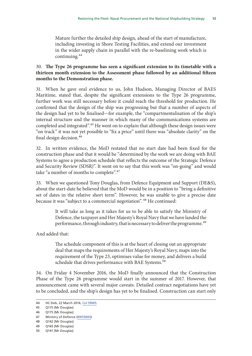Mature further the detailed ship design, ahead of the start of manufacture, including investing in Shore Testing Facilities, and extend our investment in the wider supply chain in parallel with the re-baselining work which is continuing.44

#### 30. **The Type 26 programme has seen a significant extension to its timetable with a thirteen month extension to the Assessment phase followed by an additional fifteen months to the Demonstration phase.**

31. When he gave oral evidence to us, John Hudson, Managing Director of BAES Maritime, stated that, despite the significant extensions to the Type 26 programme, further work was still necessary before it could reach the threshold for production. He confirmed that the design of the ship was progressing but that a number of aspects of the design had yet to be finalised—for example, the "compartmentalisation of the ship's internal structure and the manner in which many of the communications systems are completed and integrated".<sup>45</sup> He went on to explain that although these design issues were "on track" it was not yet possible to "fix a price" until there was "absolute clarity" on the final design decision.<sup>46</sup>

32. In written evidence, the MoD restated that no start date had been fixed for the construction phase and that it would be "determined by the work we are doing with BAE Systems to agree a production schedule that reflects the outcome of the Strategic Defence and Security Review (SDSR)". It went on to say that this work was "on-going" and would take "a number of months to complete".<sup>47</sup>

33. When we questioned Tony Douglas, from Defence Equipment and Support (DE&S), about the start-date he believed that the MoD would be in a position to "bring a definitive set of dates in the relative short term". However, he was unable to give a precise date because it was "subject to a commercial negotiation".<sup>48</sup> He continued:

> It will take as long as it takes for us to be able to satisfy the Ministry of Defence, the taxpayer and Her Majesty's Royal Navy that we have landed the performance, through industry, that is necessary to deliver the programme.<sup>49</sup>

And added that:

The schedule component of this is at the heart of closing out an appropriate deal that maps the requirements of Her Majesty's Royal Navy, maps into the requirement of the Type 23, optimises value for money, and delivers a build schedule that drives performance with BAE Systems.<sup>50</sup>

34. On Friday 4 November 2016, the MoD finally announced that the Construction Phase of the Type 26 programme would start in the summer of 2017. However, that announcement came with several major caveats. Detailed contract negotiations have yet to be concluded, and the ship's design has yet to be finalised. Construction can start only

<sup>44</sup> HC Deb, 22 March 2016, [Col 59WS](http://www.publications.parliament.uk/pa/cm201516/cmhansrd/cm160322/wmstext/160322m0001.htm)

<sup>45</sup> Q175 [Mr Douglas]

<sup>46</sup> Q175 [Mr Douglas]

<sup>47</sup> Ministry of Defence ([RNT0003\)](http://data.parliament.uk/writtenevidence/committeeevidence.svc/evidencedocument/defence-committee/naval-procurement-type-26-and-type-45/written/35190.html)

<sup>48</sup> Q142 [Mr Douglas]

<sup>49</sup> Q165 [Mr Douglas]

<sup>50</sup> Q141 [Mr Douglas]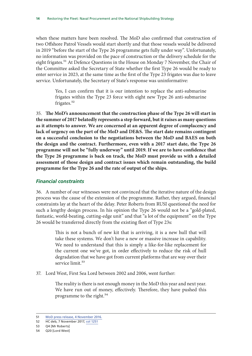<span id="page-15-0"></span>when these matters have been resolved. The MoD also confirmed that construction of two Offshore Patrol Vessels would start shortly and that those vessels would be delivered in 2019 "before the start of the Type 26 programme gets fully under way". Unfortunately, no information was provided on the pace of construction or the delivery schedule for the eight frigates.<sup>51</sup> At Defence Questions in the House on Monday 7 November, the Chair of the Committee asked the Secretary of State whether the first Type 26 would be ready to enter service in 2023, at the same time as the first of the Type 23 frigates was due to leave service. Unfortunately, the Secretary of State's response was uninformative:

> Yes, I can confirm that it is our intention to replace the anti-submarine frigates within the Type 23 force with eight new Type 26 anti-submarine frigates.<sup>52</sup>

35. **The MoD's announcement that the construction phase of the Type 26 will start in the summer of 2017 belatedly represents a step forward, but it raises as many questions as it attempts to answer. We are concerned at an apparent degree of complacency and lack of urgency on the part of the MoD and DE&S. The start date remains contingent on a successful conclusion to the negotiations between the MoD and BAES on both the design and the contract. Furthermore, even with a 2017 start date, the Type 26 programme will not be "fully underway" until 2019. If we are to have confidence that the Type 26 programme is back on track, the MoD must provide us with a detailed assessment of those design and contract issues which remain outstanding, the build programme for the Type 26 and the rate of output of the ships.**

#### *Financial constraints*

36. A number of our witnesses were not convinced that the iterative nature of the design process was the cause of the extension of the programme. Rather, they argued, financial constraints lay at the heart of the delay. Peter Roberts from RUSI questioned the need for such a lengthy design process. In his opinion the Type 26 would not be a "gold-plated, fantastic, world-beating, cutting-edge unit" and that "a lot of the equipment" on the Type 26 would be transferred directly from the existing fleet of Type 23s:

> This is not a bunch of new kit that is arriving, it is a new hull that will take these systems. We don't have a new or massive increase in capability. We need to understand that this is simply a like-for-like replacement for the current one we've got, in order effectively to reduce the risk of hull degradation that we have got from current platforms that are way over their service limit.<sup>53</sup>

37. Lord West, First Sea Lord between 2002 and 2006, went further:

The reality is there is not enough money in the MoD this year and next year. We have run out of money, effectively. Therefore, they have pushed this programme to the right.<sup>54</sup>

<sup>51</sup> [MoD press release, 4 November 2016.](https://www.gov.uk/government/news/defence-secretary-confirms-summer-start-for-type-26-frigates)

<sup>52</sup> HC deb, 7 November 2017, [col 1251](https://hansard.parliament.uk/commons/2016-11-07/debates/E9696EF0-D032-48B2-8108-4B09F52DA267/OralAnswersToQuestions)

<sup>53</sup> Q4 [Mr Roberts]

<sup>54</sup> Q20 [Lord West]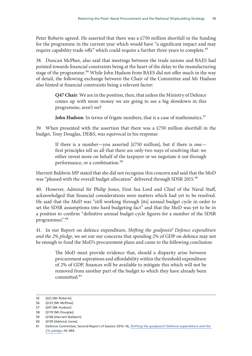Peter Roberts agreed. He asserted that there was a  $£750$  million shortfall in the funding for the programme in the current year which would have "a significant impact and may require capability trade-offs" which could require a further three years to complete.<sup>55</sup>

38. Duncan McPhee, also said that meetings between the trade unions and BAES had pointed towards financial constraints being at the heart of the delay to the manufacturing stage of the programme.<sup>56</sup> While John Hudson from BAES did not offer much in the way of detail, the following exchange between the Chair of the Committee and Mr Hudson also hinted at financial constraints being a relevant factor:

> **Q47 Chair**: We are in the position, then, that unless the Ministry of Defence comes up with more money we are going to see a big slowdown in this programme, aren't we?

> **John Hudson**: In terms of frigate numbers, that is a case of mathematics.<sup>57</sup>

39. When presented with the assertion that there was a £750 million shortfall in the budget, Tony Douglas, DE&S, was equivocal in his response:

> If there is a number—you asserted [ $£750$  million], but if there is one first principles tell us all that there are only two ways of resolving that: we either invest more on behalf of the taxpayer or we negotiate it out through performance, or a combination.<sup>58</sup>

Harriett Baldwin MP stated that she did not recognise this concern and said that the MoD was "pleased with the overall budget allocation" delivered through SDSR 2015.<sup>59</sup>

40. However, Admiral Sir Philip Jones, First Sea Lord and Chief of the Naval Staff, acknowledged that financial considerations were matters which had yet to be resolved. He said that the MoD was "still working through [its] annual budget cycle in order to set the SDSR assumptions into hard budgeting fact" and that the MoD was yet to be in a position to confirm "definitive annual budget cycle figures for a number of the SDSR programmes".60

41. In our Report on defence expenditure, *Shifting the goalposts? Defence expenditure and the 2% pledge*, we set out our concerns that spending 2% of GDP on defence may not be enough to fund the MoD's procurement plans and came to the following conclusion:

> The MoD must provide evidence that, should a disparity arise between procurement aspirations and affordability within the threshold expenditure of 2% of GDP, finances will be available to mitigate this which will not be removed from another part of the budget to which they have already been committed.<sup>61</sup>

<sup>55</sup> Q22 [Mr Roberts]

<sup>56</sup> Q123 [Mr McPhee]

<sup>57</sup> Q47 [Mr Hudson]

<sup>58</sup> Q170 [Mr Douglas]

<sup>59</sup> Q168 [Harriett Baldwin]

<sup>60</sup> Q159 [Admiral Jones]

<sup>61</sup> Defence Committee, Second Report of Session 2015–16, *[Shifting the goalposts? Defence expenditure and the](http://www.publications.parliament.uk/pa/cm201516/cmselect/cmdfence/494/494.pdf)  [2% pledge](http://www.publications.parliament.uk/pa/cm201516/cmselect/cmdfence/494/494.pdf)*, HC 494.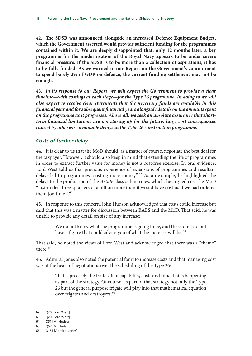<span id="page-17-0"></span>42. **The SDSR was announced alongside an increased Defence Equipment Budget, which the Government asserted would provide sufficient funding for the programmes contained within it. We are deeply disappointed that, only 12 months later, a key programme for the modernisation of the Royal Navy appears to be under severe financial pressure. If the SDSR is to be more than a collection of aspirations, it has to be fully funded. As we warned in our Report on the Government's commitment to spend barely 2% of GDP on defence, the current funding settlement may not be enough.**

43. *In its response to our Report, we will expect the Government to provide a clear timeline—with costings at each stage—for the Type 26 programme. In doing so we will also expect to receive clear statements that the necessary funds are available in this financial year and for subsequent financial years alongside details on the amounts spent on the programme as it progresses. Above all, we seek an absolute assurance that shortterm financial limitations are not storing up for the future, large cost consequences caused by otherwise avoidable delays in the Type 26 construction programme.*

#### *Costs of further delay*

44. It is clear to us that the MoD should, as a matter of course, negotiate the best deal for the taxpayer. However, it should also keep in mind that extending the life of programmes in order to extract further value for money is not a cost-free exercise. In oral evidence, Lord West told us that previous experience of extensions of programmes and resultant delays led to programmes "costing more money".62 As an example, he highlighted the delays to the production of the *Astute* class submarines, which, he argued cost the MoD "just under three-quarters of a billion more than it would have cost us if we had ordered them [on time]".<sup>63</sup>

45. In response to this concern, John Hudson acknowledged that costs could increase but said that this was a matter for discussion between BAES and the MoD. That said, he was unable to provide any detail on size of any increase:

> We do not know what the programme is going to be, and therefore I do not have a figure that could advise you of what the increase will be.<sup>64</sup>

That said, he noted the views of Lord West and acknowledged that there was a "theme" there.<sup>65</sup>

46. Admiral Jones also noted the potential for it to increase costs and that managing cost was at the heart of negotiations over the scheduling of the Type 26:

> That is precisely the trade-off of capability, costs and time that is happening as part of the strategy. Of course, as part of that strategy not only the Type 26 but the general purpose frigate will play into that mathematical equation over frigates and destroyers.<sup>66</sup>

<sup>62</sup> Q20 [Lord West]

<sup>63</sup> Q20 [Lord West]

<sup>64</sup> Q51 [Mr Hudson]

<sup>65</sup> Q52 [Mr Hudson]

<sup>66</sup> Q154 [Admiral Jones]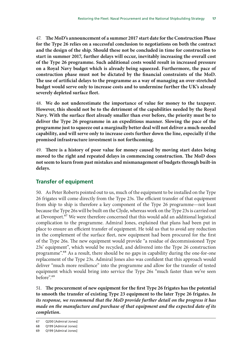<span id="page-18-0"></span>47. **The MoD's announcement of a summer 2017 start date for the Construction Phase for the Type 26 relies on a successful conclusion to negotiations on both the contract and the design of the ship. Should these not be concluded in time for construction to start in summer 2017, further delays will occur, inevitably increasing the overall cost of the Type 26 programme. Such additional costs would result in increased pressure on a Royal Navy budget which is already being squeezed. Furthermore, the pace of construction phase must not be dictated by the financial constraints of the MoD. The use of artificial delays to the programme as a way of managing an over-stretched budget would serve only to increase costs and to undermine further the UK's already severely depleted surface fleet.**

48. **We do not underestimate the importance of value for money to the taxpayer. However, this should not be to the detriment of the capabilities needed by the Royal Navy. With the surface fleet already smaller than ever before, the priority must be to deliver the Type 26 programme in an expeditious manner. Slowing the pace of the programme just to squeeze out a marginally better deal will not deliver a much-needed capability, and will serve only to increase costs further down the line, especially if the promised infrastructure investment is not forthcoming.**

49. **There is a history of poor value for money caused by moving start dates being moved to the right and repeated delays in commencing construction. The MoD does not seem to learn from past mistakes and mismanagement of budgets through built-in delays.**

#### **Transfer of equipment**

50. As Peter Roberts pointed out to us, much of the equipment to be installed on the Type 26 frigates will come directly from the Type 23s. The efficient transfer of that equipment from ship to ship is therefore a key component of the Type 26 programme—not least because the Type 26s will be built on the Clyde, whereas work on the Type 23s is carried out at Devonport.<sup>67</sup> We were therefore concerned that this would add an additional logistical complication to the programme. Admiral Jones, explained that plans had been put in place to ensure an efficient transfer of equipment. He told us that to avoid any reduction in the complement of the surface fleet, new equipment had been procured for the first of the Type 26s. The new equipment would provide "a residue of decommissioned Type 23s' equipment", which would be recycled, and delivered into the Type 26 construction programme".68 As a result, there should be no gaps in capability during the one-for-one replacement of the Type 23s. Admiral Jones also was confident that this approach would deliver "much more resilience" into the programme and allow for the transfer of tested equipment which would bring into service the Type 26s "much faster than we've seen before".69

51. **The procurement of new equipment for the first Type 26 frigates has the potential to smooth the transfer of existing Type 23 equipment to the later Type 26 frigates.** *In its response, we recommend that the MoD provide further detail on the progress it has made on the manufacture and purchase of that equipment and the expected date of its completion.*

<sup>67</sup> Q200 [Admiral Jones]

<sup>68</sup> Q199 [Admiral Jones]

<sup>69</sup> Q199 [Admiral Jones]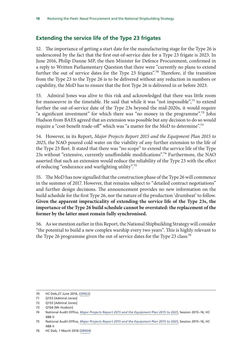### <span id="page-19-0"></span>**Extending the service life of the Type 23 frigates**

52. The importance of getting a start date for the manufacturing stage for the Type 26 is underscored by the fact that the first out-of-service date for a Type 23 frigate is 2023. In June 2016, Philip Dunne MP, the then Minister for Defence Procurement, confirmed in a reply to Written Parliamentary Question that there were "currently no plans to extend further the out of service dates for the Type 23 frigates".<sup>70</sup> Therefore, if the transition from the Type 23 to the Type 26 is to be delivered without any reduction in numbers or capability, the MoD has to ensure that the first Type 26 is delivered in or before 2023.

53. Admiral Jones was alive to this risk and acknowledged that there was little room for manoeuvre in the timetable. He said that while it was "not impossible",<sup>71</sup> to extend further the out-of-service date of the Type 23s beyond the mid-2020s, it would require "a significant investment" for which there was "no money in the programme".<sup>72</sup> John Hudson from BAES agreed that an extension was possible but any decision to do so would require a "cost-benefit trade-off" which was "a matter for the MoD to determine".73

54. However, in its Report, *Major Projects Report 2015 and the Equipment Plan 2015 to 2025*, the NAO poured cold water on the viability of any further extension to the life of the Type 23 fleet. It stated that there was "no scope" to extend the service life of the Type 23s without "extensive, currently unaffordable modifications".74 Furthermore, the NAO asserted that such an extension would reduce the reliability of the Type 23 with the effect of reducing "endurance and warfighting utility".75

55. The MoD has now signalled that the construction phase of the Type 26 will commence in the summer of 2017. However, that remains subject to "detailed contract negotiations" and further design decisions. The announcement provides no new information on the build schedule for the first Type 26, nor the nature of the production 'drumbeat' to follow. **Given the apparent impracticality of extending the service life of the Type 23s, the importance of the Type 26 build schedule cannot be overstated: the replacement of the former by the latter must remain fully synchronised.**

56. As we mention earlier in this Report, the National Shipbuilding Strategy will consider "the potential to build a new complex warship every two years". This is highly relevant to the Type 26 programme given the out of service dates for the Type 23 class:<sup>76</sup>

<sup>70</sup> HC Deb,27 June 2016, [\(39922\)](http://www.parliament.uk/written-questions-answers-statements/written-question/commons/2016-06-08/39922)

<sup>71</sup> Q153 [Admiral Jones]

<sup>72</sup> O153 [Admiral Jones]

<sup>73</sup> O104 [Mr Hudson]

<sup>74</sup> National Audit Office, *[Major Projects Report 2015 and the Equipment Plan 2015 to 2025](https://www.nao.org.uk/wp-content/uploads/2015/10/Appendices-and-project-summary-sheets.pdf)*, Session 2015–16, HC 488-II

<sup>75</sup> National Audit Office, *[Major Projects Report 2015 and the Equipment Plan 2015 to 2025](https://www.nao.org.uk/wp-content/uploads/2015/10/Appendices-and-project-summary-sheets.pdf)*, Session 2015–16, HC 488-II

<sup>76</sup> HC Deb, 1 March 2016 ([28004\)](http://www.parliament.uk/written-questions-answers-statements/written-question/commons/2016-02-23/28004)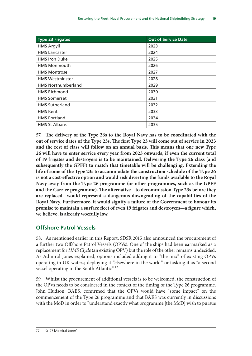<span id="page-20-0"></span>

| <b>Type 23 Frigates</b>   | <b>Out of Service Date</b> |
|---------------------------|----------------------------|
| <b>HMS Argyll</b>         | 2023                       |
| <b>HMS Lancaster</b>      | 2024                       |
| <b>HMS</b> Iron Duke      | 2025                       |
| <b>HMS Monmouth</b>       | 2026                       |
| <b>HMS Montrose</b>       | 2027                       |
| <b>HMS Westminster</b>    | 2028                       |
| <b>HMS Northumberland</b> | 2029                       |
| <b>HMS Richmond</b>       | 2030                       |
| <b>HMS Somerset</b>       | 2031                       |
| <b>HMS Sutherland</b>     | 2032                       |
| <b>HMS Kent</b>           | 2033                       |
| <b>HMS Portland</b>       | 2034                       |
| <b>HMS St Albans</b>      | 2035                       |

57. **The delivery of the Type 26s to the Royal Navy has to be coordinated with the out of service dates of the Type 23s. The first Type 23 will come out of service in 2023 and the rest of class will follow on an annual basis. This means that one new Type 26 will have to enter service every year from 2023 onwards, if even the current total of 19 frigates and destroyers is to be maintained. Delivering the Type 26 class (and subsequently the GPFF) to match that timetable will be challenging. Extending the life of some of the Type 23s to accommodate the construction schedule of the Type 26 is not a cost-effective option and would risk diverting the funds available to the Royal Navy away from the Type 26 programme (or other programmes, such as the GPFF and the Carrier programme). The alternative—to decommission Type 23s before they are replaced—would represent a dangerous downgrading of the capabilities of the Royal Navy. Furthermore, it would signify a failure of the Government to honour its promise to maintain a surface fleet of even 19 frigates and destroyers—a figure which, we believe, is already woefully low.**

### **Offshore Patrol Vessels**

58. As mentioned earlier in this Report, SDSR 2015 also announced the procurement of a further two Offshore Patrol Vessels (OPVs). One of the ships had been earmarked as a replacement for *HMS Clyde* (an existing OPV) but the role of the other remains undecided. As Admiral Jones explained, options included adding it to "the mix" of existing OPVs operating in UK waters; deploying it "elsewhere in the world" or tasking it as "a second vessel operating in the South Atlantic".77

59. Whilst the procurement of additional vessels is to be welcomed, the construction of the OPVs needs to be considered in the context of the timing of the Type 26 programme. John Hudson, BAES, confirmed that the OPVs would have "some impact" on the commencement of the Type 26 programme and that BAES was currently in discussions with the MoD in order to "understand exactly what programme [the MoD] wish to pursue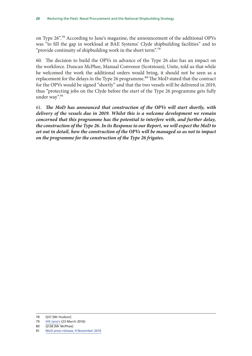on Type 26".78 According to Jane's magazine, the announcement of the additional OPVs was "to fill the gap in workload at BAE Systems' Clyde shipbuilding facilities" and to "provide continuity of shipbuilding work in the short term".<sup>79</sup>

60. The decision to build the OPVs in advance of the Type 26 also has an impact on the workforce. Duncan McPhee, Manual Convenor (Scotstoun), Unite, told us that while he welcomed the work the additional orders would bring, it should not be seen as a replacement for the delays in the Type 26 programme.<sup>80</sup> The MoD stated that the contract for the OPVs would be signed "shortly" and that the two vessels will be delivered in 2019, thus "protecting jobs on the Clyde before the start of the Type 26 programme gets fully under way".<sup>81</sup>

61. *The MoD has announced that construction of the OPVs will start shortly, with delivery of the vessels due in 2019. Whilst this is a welcome development we remain concerned that this programme has the potential to interfere with, and further delay, the construction of the Type 26. In its Response to our Report, we will expect the MoD to set out in detail, how the construction of the OPVs will be managed so as not to impact on the programme for the construction of the Type 26 frigates.*

<sup>78</sup> Q37 [Mr Hudson]

<sup>79</sup> [IHS Jane's](https://janes.ihs.com/Janes/Display/1765563) (23 March 2016)

<sup>80</sup> Q128 [Mr McPhee]

<sup>81</sup> [MoD press release, 4 November 2016](https://www.gov.uk/government/news/defence-secretary-confirms-summer-start-for-type-26-frigates)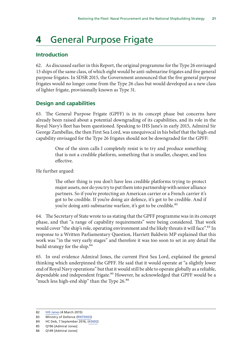## <span id="page-22-0"></span>**4** General Purpose Frigate

### **Introduction**

62. As discussed earlier in this Report, the original programme for the Type 26 envisaged 13 ships of the same class, of which eight would be anti-submarine frigates and five general purpose frigates. In SDSR 2015, the Government announced that the five general purpose frigates would no longer come from the Type 26 class but would developed as a new class of lighter frigate, provisionally known as Type 31.

#### **Design and capabilities**

63. The General Purpose Frigate (GPFF) is in its concept phase but concerns have already been raised about a potential downgrading of its capabilities, and its role in the Royal Navy's fleet has been questioned. Speaking to IHS Jane's in early 2015, Admiral Sir George Zambellas, the then First Sea Lord, was unequivocal in his belief that the high-end capability envisaged for the Type 26 frigates should not be downgraded for the GPFF:

> One of the siren calls I completely resist is to try and produce something that is not a credible platform, something that is smaller, cheaper, and less effective.

He further argued:

The other thing is you don't have less credible platforms trying to protect major assets, nor do you try to put them into partnership with senior alliance partners. So if you're protecting an American carrier or a French carrier it's got to be credible. If you're doing air defence, it's got to be credible. And if you're doing anti-submarine warfare, it's got to be credible.<sup>82</sup>

64. The Secretary of State wrote to us stating that the GPFF programme was in its concept phase, and that "a range of capability requirements" were being considered. That work would cover "the ship's role, operating environment and the likely threats it will face".<sup>83</sup> In response to a Written Parliamentary Question, Harriett Baldwin MP explained that this work was "in the very early stages" and therefore it was too soon to set in any detail the build strategy for the ship.<sup>84</sup>

65. In oral evidence Admiral Jones, the current First Sea Lord, explained the general thinking which underpinned the GPFF. He said that it would operate at "a slightly lower end of Royal Navy operations" but that it would still be able to operate globally as a reliable, dependable and independent frigate.<sup>85</sup> However, he acknowledged that GPFF would be a "much less high-end ship" than the Type 26.<sup>86</sup>

<sup>82</sup> [IHS Janes](https://janes.ihs.com/Janes/Display/1737683) (4 March 2015)

<sup>83</sup> Ministry of Defence ([RNT0003\)](http://data.parliament.uk/writtenevidence/committeeevidence.svc/evidencedocument/defence-committee/naval-procurement-type-26-and-type-45/written/35190.html)

<sup>84</sup> HC Deb, 7 September 2016, [\(43692](http://www.parliament.uk/written-questions-answers-statements/written-question/commons/2016-07-20/43692))

<sup>85</sup> Q196 [Admiral Jones]

<sup>86</sup> Q149 [Admiral Jones]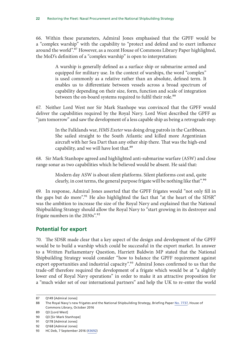<span id="page-23-0"></span>66. Within these parameters, Admiral Jones emphasised that the GPFF would be a "complex warship" with the capability to "protect and defend and to exert influence around the world".<sup>87</sup> However, as a recent House of Commons Library Paper highlighted, the MoD's definition of a "complex warship" is open to interpretation:

> A warship is generally defined as a surface ship or submarine armed and equipped for military use. In the context of warships, the word "complex" is used commonly as a relative rather than an absolute, defined term. It enables us to differentiate between vessels across a broad spectrum of capability depending on their size, form, function and scale of integration between the on-board systems required to fulfil their role.<sup>88</sup>

67. Neither Lord West nor Sir Mark Stanhope was convinced that the GPFF would deliver the capabilities required by the Royal Navy. Lord West described the GPFF as "jam tomorrow" and saw the development of a less capable ship as being a retrograde step:

> In the Falklands war, *HMS Exeter* was doing drug patrols in the Caribbean. She sailed straight to the South Atlantic and killed more Argentinian aircraft with her Sea Dart than any other ship there. That was the high-end capability, and we will have lost that.<sup>89</sup>

68. Sir Mark Stanhope agreed and highlighted anti-submarine warfare (ASW) and close range sonar as two capabilities which he believed would be absent. He said that:

> Modern day ASW is about silent platforms. Silent platforms cost and, quite clearly, in cost terms, the general purpose frigate will be nothing like that".90

69. In response, Admiral Jones asserted that the GPFF frigates would "not only fill in the gaps but do more".<sup>91</sup> He also highlighted the fact that "at the heart of the SDSR" was the ambition to increase the size of the Royal Navy and explained that the National Shipbuilding Strategy should allow the Royal Navy to "start growing in its destroyer and frigate numbers in the 2030s".<sup>92</sup>

#### **Potential for export**

70. The SDSR made clear that a key aspect of the design and development of the GPFF would be to build a warship which could be successful in the export market. In answer to a Written Parliamentary Question, Harriett Baldwin MP stated that the National Shipbuilding Strategy would consider "how to balance the GPFF requirement against export opportunities and industrial capacity".<sup>93</sup> Admiral Jones confirmed to us that the trade-off therefore required the development of a frigate which would be at "a slightly lower end of Royal Navy operations" in order to make it an attractive proposition for a "much wider set of our international partners" and help the UK to re-enter the world

<sup>87</sup> Q149 [Admiral Jones]

<sup>88</sup> The Royal Navy's new frigates and the National Shipbuilding Strategy, Briefing Paper [No. 7737,](http://researchbriefings.files.parliament.uk/documents/CBP-7737/CBP-7737.pdf) House of Commons Library, October 2016

<sup>89</sup> Q3 [Lord West]

<sup>90</sup> Q3 [Sir Mark Stanhope]

<sup>91</sup> Q178 [Admiral Jones]

<sup>92</sup> Q168 [Admiral Jones]

<sup>93</sup> HC Deb, 7 September 2016 [\(43692](http://www.parliament.uk/business/publications/written-questions-answers-statements/written-question/Commons/2016-07-20/43692/))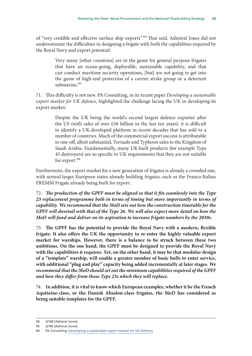of "very credible and effective surface ship exports".<sup>94</sup> That said, Admiral Jones did not underestimate the difficulties in designing a frigate with both the capabilities required by the Royal Navy and export potential:

> Very many [other countries] are in the game for general purpose frigates that have an ocean-going, deployable, sustainable capability, and that can conduct maritime security operations, [but] are not going to get into the game of high-end protection of a carrier strike group or a deterrent submarine.<sup>95</sup>

71. This difficulty is not new. PA Consulting, in its recent paper *Developing a sustainable export market for UK defence*, highlighted the challenge facing the UK in developing its export market:

> Despite the UK being the world's second largest defence exporter after the US (with sales of over £56 billion in the last ten years), it is difficult to identify a UK-developed platform in recent decades that has sold to a number of countries. Much of the commercial export success is attributable to one-off, albeit substantial, Tornado and Typhoon sales to the Kingdom of Saudi Arabia. Fundamentally, many UK-built products (for example Type 45 destroyers) are so specific to UK requirements that they are not suitable for export.<sup>96</sup>

Furthermore, the export market for a new generation of frigates is already a crowded one, with several larger European states already building frigates, such as the Franco-Italian FREMM Frigate already being built for export.

72. *The production of the GPFF must be aligned so that it fits seamlessly into the Type 23 replacement programme both in terms of timing but more importantly in terms of capability. We recommend that the MoD sets out how the construction timetable for the GPFF will dovetail with that of the Type 26. We will also expect more detail on how the MoD will fund and deliver on its aspiration to increase frigate numbers by the 2030s.*

73. **The GPFF has the potential to provide the Royal Navy with a modern, flexible frigate. It also offers the UK the opportunity to re-enter the highly valuable export market for warships. However, there is a balance to be struck between these two ambitions. On the one hand, the GPFF must be designed to provide the Royal Navy with the capabilities it requires. Yet, on the other hand, it may be that modular design of a "template" warship, will enable a greater number of basic hulls to enter service, with additional "plug and play" capacity being added incrementally at later stages.** *We recommend that the MoD should set out the minimum capabilities required of the GPFF and how they differ from those Type 23s which they will replace.*

74. **In addition, it is vital to know which European examples, whether it be the French Aquitaine-class, or the Danish Absalon-class frigates, the MoD has considered as being suitable templates for the GPFF.**

<sup>94</sup> Q168 [Admiral Jones]

<sup>95</sup> Q196 [Admiral Jones]

<sup>96</sup> PA Consulting, [Developing a sustainable export market for UK Defence](http://www.paconsulting.com/our-thinking/developing-a-sustainable-export-market-for-uk-defence/)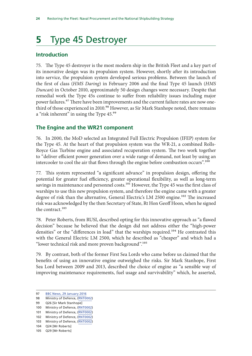## <span id="page-25-0"></span>**5** Type 45 Destroyer

### **Introduction**

75. The Type 45 destroyer is the most modern ship in the British Fleet and a key part of its innovative design was its propulsion system. However, shortly after its introduction into service, the propulsion system developed serious problems. Between the launch of the first of class (*HMS Daring*) in February 2006 and the final Type 45 launch (*HMS Duncan*) in October 2010, approximately 50 design changes were necessary. Despite that remedial work the Type 45s continue to suffer from reliability issues including major power failures.<sup>97</sup> There have been improvements and the current failure rates are now onethird of those experienced in 2010.<sup>98</sup> However, as Sir Mark Stanhope noted, there remains a "risk inherent" in using the Type 45.99

### **The Engine and the WR21 component**

76. In 2000, the MoD selected an Integrated Full Electric Propulsion (IFEP) system for the Type 45. At the heart of that propulsion system was the WR-21, a combined Rolls-Royce Gas Turbine engine and associated recuperation system. The two work together to "deliver efficient power generation over a wide range of demand, not least by using an intercooler to cool the air that flows through the engine before combustion occurs".<sup>100</sup>

77. This system represented "a significant advance" in propulsion design, offering the potential for greater fuel efficiency, greater operational flexibility, as well as long-term savings in maintenance and personnel costs.<sup>101</sup> However, the Type 45 was the first class of warships to use this new propulsion system, and therefore the engine came with a greater degree of risk than the alternative, General Electric's LM 2500 engine.<sup>102</sup> The increased risk was acknowledged by the then Secretary of State, Rt Hon Geoff Hoon, when he signed the contract.<sup>103</sup>

78. Peter Roberts, from RUSI, described opting for this innovative approach as "a flawed decision" because he believed that the design did not address either the "high-power densities" or the "differences in load" that the warships required.<sup>104</sup> He contrasted this with the General Electric LM 2500, which he described as "cheaper" and which had a "lower technical risk and more proven background".105

79. By contrast, both of the former First Sea Lords who came before us claimed that the benefits of using an innovative engine outweighed the risks. Sir Mark Stanhope, First Sea Lord between 2009 and 2013, described the choice of engine as "a sensible way of improving maintenance requirements, fuel usage and survivability" which, he asserted,

<sup>97</sup> [BBC News, 29 January 2016](http://www.bbc.co.uk/news/uk-35432341)

<sup>98</sup> Ministry of Defence, [\(RNT0002](http://data.parliament.uk/writtenevidence/committeeevidence.svc/evidencedocument/defence-committee/naval-procurement-type-26-and-type-45/written/35189.html))

<sup>99</sup> Q26 [Sir Mark Stanhope]

<sup>100</sup> Ministry of Defence, [\(RNT0002](http://data.parliament.uk/writtenevidence/committeeevidence.svc/evidencedocument/defence-committee/naval-procurement-type-26-and-type-45/written/35189.html))

<sup>101</sup> Ministry of Defence, [\(RNT0002](http://data.parliament.uk/writtenevidence/committeeevidence.svc/evidencedocument/defence-committee/naval-procurement-type-26-and-type-45/written/35189.html))

<sup>102</sup> Ministry of Defence, [\(RNT0002](http://data.parliament.uk/writtenevidence/committeeevidence.svc/evidencedocument/defence-committee/naval-procurement-type-26-and-type-45/written/35189.html))

<sup>103</sup> Ministry of Defence, [\(RNT0002](http://data.parliament.uk/writtenevidence/committeeevidence.svc/evidencedocument/defence-committee/naval-procurement-type-26-and-type-45/written/35189.html))

<sup>104</sup> Q24 [Mr Roberts] 105 Q29 [Mr Roberts]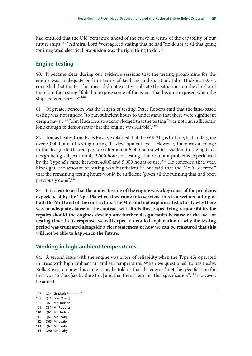<span id="page-26-0"></span>had ensured that the UK "remained ahead of the curve in terms of the capability of our future ships".106 Admiral Lord West agreed stating that he had "no doubt at all that going for integrated electrical propulsion was the right thing to  $do$ .<sup>107</sup>

#### **Engine Testing**

80. It became clear during our evidence sessions that the testing programme for the engine was inadequate both in terms of facilities and duration. John Hudson, BAES, conceded that the test facilities "did not exactly replicate the situations on the ship" and therefore the testing "failed to expose some of the issues that became exposed when the ships entered service".<sup>108</sup>

81. Of greater concern was the length of testing. Peter Roberts said that the land-based testing was not funded "to run sufficient hours to understand that there were significant design flaws".<sup>109</sup> John Hudson also acknowledged that the testing "was not run sufficiently long enough to demonstrate that the engine was reliable".<sup>110</sup>

82. Tomas Leahy, from Rolls Royce, explained that the WR-21 gas turbine, had undergone over 8,000 hours of testing during the development cycle. However, there was a change in the design (to the recuperator) after about 5,000 hours which resulted in the updated design being subject to only 3,000 hours of testing. The resultant problems experienced by the Type 45s came between 4,000 and 5,000 hours of use.<sup>111</sup> He conceded that, with hindsight, the amount of testing was insufficient, $112$  but said that the MoD "decreed" that the remaining testing hours would be sufficient "given all the running that had been previously done".<sup>113</sup>

83. **It is clear to us that the under-testing of the engine was a key cause of the problems experienced by the Type 45s when they came into service. This is a serious failing of both the MoD and of the contractors. The MoD did not explain satisfactorily why there was no adequate clause in the contract with Rolls Royce specifying responsibility for repairs should the engines develop any further design faults because of the lack of testing time. In its response, we will expect a detailed explanation of why the testing period was truncated alongside a clear statement of how we can be reassured that this will not be able to happen in the future.**

#### **Working in high ambient temperatures**

84. A second issue with the engine was a loss of reliability when the Type 45s operated in areas with high ambient air and sea temperature. When we questioned Tomas Leahy, Rolls Royce, on how this came to be, he told us that the engine "met the specification for the Type 45 class [set by the MoD] and that the system met that specification".<sup>114</sup> However, he added:

- 109 Q31 [Mr Roberts]
- 110 Q61 [Mr Hudson]

<sup>106</sup> Q24 [Sir Mark Stanhope]

<sup>107</sup> Q24 [Lord West]

<sup>108</sup> Q61 [Mr Hudson]

<sup>111</sup> Q67 [Mr Leahy]

<sup>112</sup> Q65 [Mr Leahy]

<sup>113</sup> Q67 [Mr Leahy]

<sup>114</sup> Q90 [Mr Leahy]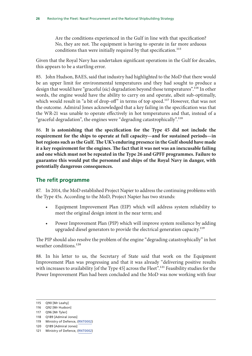<span id="page-27-0"></span>Are the conditions experienced in the Gulf in line with that specification? No, they are not. The equipment is having to operate in far more arduous conditions than were initially required by that specification.<sup>115</sup>

Given that the Royal Navy has undertaken significant operations in the Gulf for decades, this appears to be a startling error.

85. John Hudson, BAES, said that industry had highlighted to the MoD that there would be an upper limit for environmental temperatures and they had sought to produce a design that would have "graceful (sic) degradation beyond those temperatures".<sup>116</sup> In other words, the engine would have the ability to carry on and operate, albeit sub-optimally, which would result in "a bit of drop-off" in terms of top speed.<sup>117</sup> However, that was not the outcome. Admiral Jones acknowledged that a key failing in the specification was that the WR-21 was unable to operate effectively in hot temperatures and that, instead of a "graceful degradation", the engines were "degrading catastrophically".<sup>118</sup>

86. **It is astonishing that the specification for the Type 45 did not include the requirement for the ships to operate at full capacity—and for sustained periods—in hot regions such as the Gulf. The UK's enduring presence in the Gulf should have made it a key requirement for the engines. The fact that it was not was an inexcusable failing and one which must not be repeated in the Type 26 and GPFF programmes. Failure to guarantee this would put the personnel and ships of the Royal Navy in danger, with potentially dangerous consequences.**

### **The refit programme**

87. In 2014, the MoD established Project Napier to address the continuing problems with the Type 45s. According to the MoD, Project Napier has two strands:

- Equipment Improvement Plan (EIP) which will address system reliability to meet the original design intent in the near term; and
- Power Improvement Plan (PIP) which will improve system resilience by adding upgraded diesel generators to provide the electrical generation capacity.<sup>119</sup>

The PIP should also resolve the problem of the engine "degrading catastrophically" in hot weather conditions.<sup>120</sup>

88. In his letter to us, the Secretary of State said that work on the Equipment Improvement Plan was progressing and that it was already "delivering positive results with increases to availability [of the Type 45] across the Fleet".<sup>121</sup> Feasibility studies for the Power Improvement Plan had been concluded and the MoD was now working with four

<sup>115</sup> Q90 [Mr Leahy]

<sup>116</sup> Q92 [Mr Hudson]

<sup>117</sup> Q96 [Mr Tyler]

<sup>118</sup> Q189 [Admiral Jones]

<sup>119</sup> Ministry of Defence, [\(RNT0002](http://data.parliament.uk/writtenevidence/committeeevidence.svc/evidencedocument/defence-committee/naval-procurement-type-26-and-type-45/written/35189.html))

<sup>120</sup> Q189 [Admiral Jones]

<sup>121</sup> Ministry of Defence, [\(RNT0002](http://data.parliament.uk/writtenevidence/committeeevidence.svc/evidencedocument/defence-committee/naval-procurement-type-26-and-type-45/written/35189.html))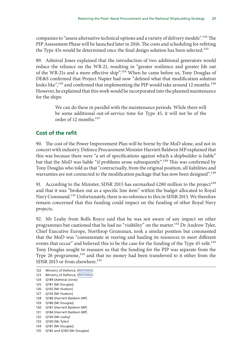<span id="page-28-0"></span>companies to "assess alternative technical options and a variety of delivery models".<sup>122</sup> The PIP Assessment Phase will be launched later in 2016. The costs and scheduling for refitting the Type 45s would be determined once the final design solution has been selected.<sup>123</sup>

89. Admiral Jones explained that the introduction of two additional generators would reduce the reliance on the WR-21, resulting in "greater resilience and greater life out of the WR-21s and a more effective ship".124 When he came before us, Tony Douglas of DE&S confirmed that Project Napier had now "defined what that modification solution looks like",<sup>125</sup> and confirmed that implementing the PIP would take around 12 months.<sup>126</sup> However, he explained that this work would be incorporated into the planned maintenance for the ships:

> We can do these in parallel with the maintenance periods. While there will be some additional out-of-service time for Type 45, it will not be of the order of 12 months.<sup>127</sup>

#### **Cost of the refit**

90. The cost of the Power Improvement Plan will be borne by the MoD alone, and not in concert with industry. Defence Procurement Minister Harriett Baldwin MP explained that this was because there were "a set of specifications against which a shipbuilder is liable" but that the MoD was liable "if problems arose subsequently".<sup>128</sup> This was confirmed by Tony Douglas who told us that "contractually, from the original position, all liabilities and warranties are not connected to the modification package that has now been designed".<sup>129</sup>

91. According to the Minister, SDSR 2015 has earmarked £280 million to the project<sup>130</sup> and that it was "broken out as a specific line item" within the budget allocated to Royal Navy Command.131 Unfortunately, there is no reference to this in SDSR 2015. We therefore remain concerned that this funding could impact on the funding of other Royal Navy projects.

92. Mr Leahy from Rolls Royce said that he was not aware of any impact on other programmes but cautioned that he had no "visibility" on the matter.132 Dr Andrew Tyler, Chief Executive Europe, Northrop Grumman, took a similar position but commented that the MoD was "consummate at veering and hauling its resources to meet different events that occur" and believed this to be the case for the funding of the Type 45 refit.<sup>133</sup> Tony Douglas sought to reassure us that the funding for the PIP was separate from the Type 26 programme,<sup>134</sup> and that no money had been transferred to it either from the SDSR 2015 or from elsewhere.<sup>135</sup>

- 122 Ministry of Defence, [\(RNT0002](http://data.parliament.uk/writtenevidence/committeeevidence.svc/evidencedocument/defence-committee/naval-procurement-type-26-and-type-45/written/35189.html)) 123 Ministry of Defence, [\(RNT0002](http://data.parliament.uk/writtenevidence/committeeevidence.svc/evidencedocument/defence-committee/naval-procurement-type-26-and-type-45/written/35189.html)) 124 Q189 [Admiral Jones] 125 Q181 [Mr Douglas] 126 Q102 [Mr Hudson] 127 Q103 [Mr Hudson] 128 Q186 [Harriett Baldwin MP] 129 Q186 [Mr Douglas] 130 Q181 [Harriett Baldwin MP] 131 Q184 [Harriett Baldwin MP] 132 Q100 [Mr Leahy] 133 Q100 [Mr Tyler]
- 134 Q181 [Mr Douglas]
- 135 Q182 and Q183 [Mr Douglas]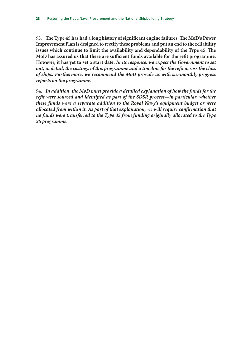93. **The Type 45 has had a long history of significant engine failures. The MoD's Power Improvement Plan is designed to rectify these problems and put an end to the reliability issues which continue to limit the availability and dependability of the Type 45. The MoD has assured us that there are sufficient funds available for the refit programme. However, it has yet to set a start date.** *In its response, we expect the Government to set out, in detail, the costings of this programme and a timeline for the refit across the class of ships. Furthermore, we recommend the MoD provide us with six-monthly progress reports on the programme.*

94. *In addition, the MoD must provide a detailed explanation of how the funds for the refit were sourced and identified as part of the SDSR process***—***in particular, whether these funds were a separate addition to the Royal Navy's equipment budget or were allocated from within it. As part of that explanation, we will require confirmation that no funds were transferred to the Type 45 from funding originally allocated to the Type 26 programme.*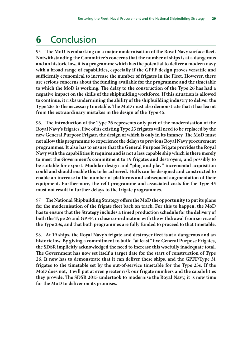## <span id="page-30-0"></span>**6** Conclusion

95. **The MoD is embarking on a major modernisation of the Royal Navy surface fleet. Notwithstanding the Committee's concerns that the number of ships is at a dangerous and an historic low, it is a programme which has the potential to deliver a modern navy with a broad range of capabilities, especially if the GPFF design proves versatile and sufficiently economical to increase the number of frigates in the Fleet. However, there are serious concerns about the funding available for the programme and the timetable to which the MoD is working. The delay to the construction of the Type 26 has had a negative impact on the skills of the shipbuilding workforce. If this situation is allowed to continue, it risks undermining the ability of the shipbuilding industry to deliver the Type 26s to the necessary timetable. The MoD must also demonstrate that it has learnt from the extraordinary mistakes in the design of the Type 45.**

96. **The introduction of the Type 26 represents only part of the modernisation of the Royal Navy's frigates. Five of its existing Type 23 frigates will need to be replaced by the new General Purpose Frigate, the design of which is only in its infancy. The MoD must not allow this programme to experience the delays to previous Royal Navy procurement programmes. It also has to ensure that the General Purpose Frigate provides the Royal Navy with the capabilities it requires and is not a less capable ship which is there merely to meet the Government's commitment to 19 frigates and destroyers, and possibly to be suitable for export. Modular design and "plug and play" incremental acquisition could and should enable this to be achieved. Hulls can be designed and constructed to enable an increase in the number of platforms and subsequent augmentation of their equipment. Furthermore, the refit programme and associated costs for the Type 45 must not result in further delays to the frigate programmes.**

97. **The National Shipbuilding Strategy offers the MoD the opportunity to put its plans for the modernisation of the frigate fleet back on track. For this to happen, the MoD has to ensure that the Strategy includes a timed production schedule for the delivery of both the Type 26 and GPFF, in close co-ordination with the withdrawal from service of the Type 23s, and that both programmes are fully funded to proceed to that timetable.**

98. **At 19 ships, the Royal Navy's frigate and destroyer fleet is at a dangerous and an historic low. By giving a commitment to build "at least" five General Purpose Frigates, the SDSR implicitly acknowledged the need to increase this woefully inadequate total. The Government has now set itself a target date for the start of construction of Type 26. It now has to demonstrate that it can deliver these ships, and the GPFF/Type 31 frigates to the timetable set by the out-of-service timetable for the Type 23s. If the MoD does not, it will put at even greater risk our frigate numbers and the capabilities they provide. The SDSR 2015 undertook to modernise the Royal Navy, it is now time for the MoD to deliver on its promises.**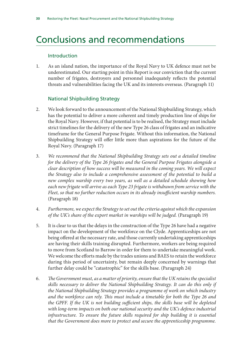## <span id="page-31-0"></span>Conclusions and recommendations

#### Introduction

1. As an island nation, the importance of the Royal Navy to UK defence must not be underestimated. Our starting point in this Report is our conviction that the current number of frigates, destroyers and personnel inadequately reflects the potential threats and vulnerabilities facing the UK and its interests overseas. (Paragraph 11)

#### National Shipbuilding Strategy

- 2. We look forward to the announcement of the National Shipbuilding Strategy, which has the potential to deliver a more coherent and timely production line of ships for the Royal Navy. However, if that potential is to be realised, the Strategy must include strict timelines for the delivery of the new Type 26 class of frigates and an indicative timeframe for the General Purpose Frigate. Without this information, the National Shipbuilding Strategy will offer little more than aspirations for the future of the Royal Navy. (Paragraph 17)
- 3. *We recommend that the National Shipbuilding Strategy sets out a detailed timeline for the delivery of the Type 26 frigates and the General Purpose Frigates alongside a clear description of how success will be measured in the coming years. We will expect the Strategy also to include a comprehensive assessment of the potential to build a new complex warship every two years, as well as a detailed schedule showing how each new frigate will arrive as each Type 23 frigate is withdrawn from service with the Fleet, so that no further reduction occurs in its already insufficient warship numbers.* (Paragraph 18)
- 4. *Furthermore, we expect the Strategy to set out the criteria against which the expansion of the UK's share of the export market in warships will be judged.* (Paragraph 19)
- 5. It is clear to us that the delays in the construction of the Type 26 have had a negative impact on the development of the workforce on the Clyde. Apprenticeships are not being offered at the necessary rate, and those currently undertaking apprenticeships are having their skills training disrupted. Furthermore, workers are being required to move from Scotland to Barrow in order for them to undertake meaningful work. We welcome the efforts made by the trades unions and BAES to retain the workforce during this period of uncertainty, but remain deeply concerned by warnings that further delay could be "catastrophic" for the skills base. (Paragraph 24)
- 6. *The Government must, as a matter of priority, ensure that the UK retains the specialist skills necessary to deliver the National Shipbuilding Strategy. It can do this only if the National Shipbuilding Strategy provides a programme of work on which industry and the workforce can rely. This must include a timetable for both the Type 26 and the GPFF. If the UK is not building sufficient ships, the skills base will be depleted with long-term impacts on both our national security and the UK's defence industrial*  infrastructure. To ensure the future skills required for ship building it is essential *that the Government does more to protect and secure the apprenticeship programme.*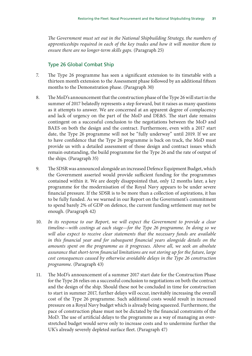*The Government must set out in the National Shipbuilding Strategy, the numbers of apprenticeships required in each of the key trades and how it will monitor them to ensure there are no longer-term skills gaps.* (Paragraph 25)

#### Type 26 Global Combat Ship

- 7. The Type 26 programme has seen a significant extension to its timetable with a thirteen month extension to the Assessment phase followed by an additional fifteen months to the Demonstration phase. (Paragraph 30)
- 8. The MoD's announcement that the construction phase of the Type 26 will start in the summer of 2017 belatedly represents a step forward, but it raises as many questions as it attempts to answer. We are concerned at an apparent degree of complacency and lack of urgency on the part of the MoD and DE&S. The start date remains contingent on a successful conclusion to the negotiations between the MoD and BAES on both the design and the contract. Furthermore, even with a 2017 start date, the Type 26 programme will not be "fully underway" until 2019. If we are to have confidence that the Type 26 programme is back on track, the MoD must provide us with a detailed assessment of those design and contract issues which remain outstanding, the build programme for the Type 26 and the rate of output of the ships. (Paragraph 35)
- 9. The SDSR was announced alongside an increased Defence Equipment Budget, which the Government asserted would provide sufficient funding for the programmes contained within it. We are deeply disappointed that, only 12 months later, a key programme for the modernisation of the Royal Navy appears to be under severe financial pressure. If the SDSR is to be more than a collection of aspirations, it has to be fully funded. As we warned in our Report on the Government's commitment to spend barely 2% of GDP on defence, the current funding settlement may not be enough. (Paragraph 42)
- 10. In its response to our Report, we will expect the Government to provide a clear *timeline—with costings at each stage—for the Type 26 programme. In doing so we will also expect to receive clear statements that the necessary funds are available in this financial year and for subsequent financial years alongside details on the amounts spent on the programme as it progresses. Above all, we seek an absolute assurance that short-term financial limitations are not storing up for the future, large cost consequences caused by otherwise avoidable delays in the Type 26 construction programme.* (Paragraph 43)
- 11. The MoD's announcement of a summer 2017 start date for the Construction Phase for the Type 26 relies on a successful conclusion to negotiations on both the contract and the design of the ship. Should these not be concluded in time for construction to start in summer 2017, further delays will occur, inevitably increasing the overall cost of the Type 26 programme. Such additional costs would result in increased pressure on a Royal Navy budget which is already being squeezed. Furthermore, the pace of construction phase must not be dictated by the financial constraints of the MoD. The use of artificial delays to the programme as a way of managing an overstretched budget would serve only to increase costs and to undermine further the UK's already severely depleted surface fleet. (Paragraph 47)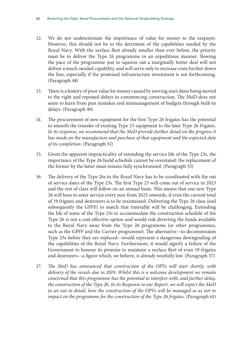- 12. We do not underestimate the importance of value for money to the taxpayer. However, this should not be to the detriment of the capabilities needed by the Royal Navy. With the surface fleet already smaller than ever before, the priority must be to deliver the Type 26 programme in an expeditious manner. Slowing the pace of the programme just to squeeze out a marginally better deal will not deliver a much-needed capability, and will serve only to increase costs further down the line, especially if the promised infrastructure investment is not forthcoming. (Paragraph 48)
- 13. There is a history of poor value for money caused by moving start dates being moved to the right and repeated delays in commencing construction. The MoD does not seem to learn from past mistakes and mismanagement of budgets through built-in delays. (Paragraph 49)
- 14. The procurement of new equipment for the first Type 26 frigates has the potential to smooth the transfer of existing Type 23 equipment to the later Type 26 frigates. *In its response, we recommend that the MoD provide further detail on the progress it has made on the manufacture and purchase of that equipment and the expected date of its completion.* (Paragraph 51)
- 15. Given the apparent impracticality of extending the service life of the Type 23s, the importance of the Type 26 build schedule cannot be overstated: the replacement of the former by the latter must remain fully synchronised. (Paragraph 55)
- 16. The delivery of the Type 26s to the Royal Navy has to be coordinated with the out of service dates of the Type 23s. The first Type 23 will come out of service in 2023 and the rest of class will follow on an annual basis. This means that one new Type 26 will have to enter service every year from 2023 onwards, if even the current total of 19 frigates and destroyers is to be maintained. Delivering the Type 26 class (and subsequently the GPFF) to match that timetable will be challenging. Extending the life of some of the Type 23s to accommodate the construction schedule of the Type 26 is not a cost-effective option and would risk diverting the funds available to the Royal Navy away from the Type 26 programme (or other programmes, such as the GPFF and the Carrier programme). The alternative—to decommission Type 23s before they are replaced—would represent a dangerous downgrading of the capabilities of the Royal Navy. Furthermore, it would signify a failure of the Government to honour its promise to maintain a surface fleet of even 19 frigates and destroyers—a figure which, we believe, is already woefully low. (Paragraph 57)
- 17. *The MoD has announced that construction of the OPVs will start shortly, with delivery of the vessels due in 2019. Whilst this is a welcome development we remain concerned that this programme has the potential to interfere with, and further delay, the construction of the Type 26. In its Response to our Report, we will expect the MoD to set out in detail, how the construction of the OPVs will be managed so as not to impact on the programme for the construction of the Type 26 frigates.* (Paragraph 61)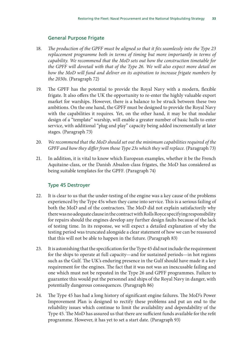#### General Purpose Frigate

- 18. *The production of the GPFF must be aligned so that it fits seamlessly into the Type 23 replacement programme both in terms of timing but more importantly in terms of capability. We recommend that the MoD sets out how the construction timetable for the GPFF will dovetail with that of the Type 26. We will also expect more detail on how the MoD will fund and deliver on its aspiration to increase frigate numbers by the 2030s.* (Paragraph 72)
- 19. The GPFF has the potential to provide the Royal Navy with a modern, flexible frigate. It also offers the UK the opportunity to re-enter the highly valuable export market for warships. However, there is a balance to be struck between these two ambitions. On the one hand, the GPFF must be designed to provide the Royal Navy with the capabilities it requires. Yet, on the other hand, it may be that modular design of a "template" warship, will enable a greater number of basic hulls to enter service, with additional "plug and play" capacity being added incrementally at later stages. (Paragraph 73)
- 20. *We recommend that the MoD should set out the minimum capabilities required of the GPFF and how they differ from those Type 23s which they will replace.* (Paragraph 73)
- 21. In addition, it is vital to know which European examples, whether it be the French Aquitaine-class, or the Danish Absalon-class frigates, the MoD has considered as being suitable templates for the GPFF. (Paragraph 74)

#### Type 45 Destroyer

- 22. It is clear to us that the under-testing of the engine was a key cause of the problems experienced by the Type 45s when they came into service. This is a serious failing of both the MoD and of the contractors. The MoD did not explain satisfactorily why there was no adequate clause in the contract with Rolls Royce specifying responsibility for repairs should the engines develop any further design faults because of the lack of testing time. In its response, we will expect a detailed explanation of why the testing period was truncated alongside a clear statement of how we can be reassured that this will not be able to happen in the future. (Paragraph 83)
- 23. It is astonishing that the specification for the Type 45 did not include the requirement for the ships to operate at full capacity—and for sustained periods—in hot regions such as the Gulf. The UK's enduring presence in the Gulf should have made it a key requirement for the engines. The fact that it was not was an inexcusable failing and one which must not be repeated in the Type 26 and GPFF programmes. Failure to guarantee this would put the personnel and ships of the Royal Navy in danger, with potentially dangerous consequences. (Paragraph 86)
- 24. The Type 45 has had a long history of significant engine failures. The MoD's Power Improvement Plan is designed to rectify these problems and put an end to the reliability issues which continue to limit the availability and dependability of the Type 45. The MoD has assured us that there are sufficient funds available for the refit programme. However, it has yet to set a start date. (Paragraph 93)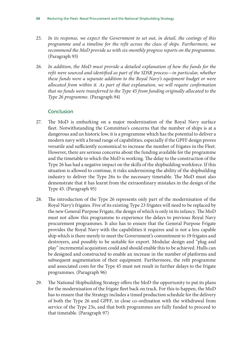- 25. *In its response, we expect the Government to set out, in detail, the costings of this programme and a timeline for the refit across the class of ships. Furthermore, we recommend the MoD provide us with six-monthly progress reports on the programme.* (Paragraph 93)
- 26. *In addition, the MoD must provide a detailed explanation of how the funds for the refit were sourced and identified as part of the SDSR process—in particular, whether these funds were a separate addition to the Royal Navy's equipment budget or were allocated from within it. As part of that explanation, we will require confirmation that no funds were transferred to the Type 45 from funding originally allocated to the Type 26 programme.* (Paragraph 94)

#### **Conclusion**

- 27. The MoD is embarking on a major modernisation of the Royal Navy surface fleet. Notwithstanding the Committee's concerns that the number of ships is at a dangerous and an historic low, it is a programme which has the potential to deliver a modern navy with a broad range of capabilities, especially if the GPFF design proves versatile and sufficiently economical to increase the number of frigates in the Fleet. However, there are serious concerns about the funding available for the programme and the timetable to which the MoD is working. The delay to the construction of the Type 26 has had a negative impact on the skills of the shipbuilding workforce. If this situation is allowed to continue, it risks undermining the ability of the shipbuilding industry to deliver the Type 26s to the necessary timetable. The MoD must also demonstrate that it has learnt from the extraordinary mistakes in the design of the Type 45. (Paragraph 95)
- 28. The introduction of the Type 26 represents only part of the modernisation of the Royal Navy's frigates. Five of its existing Type 23 frigates will need to be replaced by the new General Purpose Frigate, the design of which is only in its infancy. The MoD must not allow this programme to experience the delays to previous Royal Navy procurement programmes. It also has to ensure that the General Purpose Frigate provides the Royal Navy with the capabilities it requires and is not a less capable ship which is there merely to meet the Government's commitment to 19 frigates and destroyers, and possibly to be suitable for export. Modular design and "plug and play" incremental acquisition could and should enable this to be achieved. Hulls can be designed and constructed to enable an increase in the number of platforms and subsequent augmentation of their equipment. Furthermore, the refit programme and associated costs for the Type 45 must not result in further delays to the frigate programmes. (Paragraph 96)
- 29. The National Shipbuilding Strategy offers the MoD the opportunity to put its plans for the modernisation of the frigate fleet back on track. For this to happen, the MoD has to ensure that the Strategy includes a timed production schedule for the delivery of both the Type 26 and GPFF, in close co-ordination with the withdrawal from service of the Type 23s, and that both programmes are fully funded to proceed to that timetable. (Paragraph 97)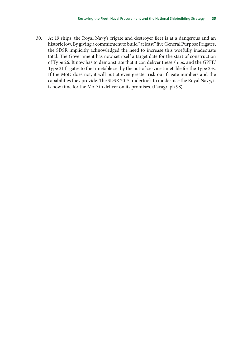30. At 19 ships, the Royal Navy's frigate and destroyer fleet is at a dangerous and an historic low. By giving a commitment to build "at least" five General Purpose Frigates, the SDSR implicitly acknowledged the need to increase this woefully inadequate total. The Government has now set itself a target date for the start of construction of Type 26. It now has to demonstrate that it can deliver these ships, and the GPFF/ Type 31 frigates to the timetable set by the out-of-service timetable for the Type 23s. If the MoD does not, it will put at even greater risk our frigate numbers and the capabilities they provide. The SDSR 2015 undertook to modernise the Royal Navy, it is now time for the MoD to deliver on its promises. (Paragraph 98)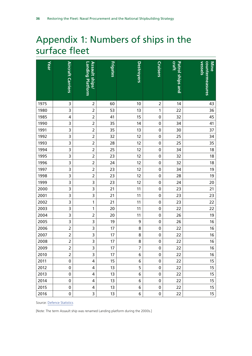## <span id="page-37-0"></span>Appendix 1: Numbers of ships in the surface fleet

| Year |                          |                         | <b>Frigates</b> |                   | <b>Cruisers</b> | craft                   | <b>Vessels</b><br>Mine |
|------|--------------------------|-------------------------|-----------------|-------------------|-----------------|-------------------------|------------------------|
|      |                          | Assault ships/          |                 | <b>Destroyers</b> |                 |                         |                        |
|      | <b>Aircraft Carriers</b> | Landing Platform        |                 |                   |                 | <b>Patrol ships and</b> | countermeasures        |
|      |                          |                         |                 |                   |                 |                         |                        |
| 1975 | 3                        | $\overline{2}$          | 60              | 10                | $\overline{2}$  | 14                      | 43                     |
| 1980 | 3                        | $\overline{2}$          | 53              | 13                | $\mathbf{1}$    | 22                      | 36                     |
| 1985 | 4                        | $\overline{2}$          | 41              | 15                | $\pmb{0}$       | 32                      | 45                     |
| 1990 | 3                        | $\overline{2}$          | 35              | 14                | $\pmb{0}$       | 34                      | 41                     |
| 1991 | 3                        | $\overline{2}$          | 35              | 13                | $\pmb{0}$       | $30$                    | 37                     |
| 1992 | 3                        | $\overline{2}$          | 32              | 12                | $\pmb{0}$       | 25                      | 34                     |
| 1993 | 3                        | $\overline{2}$          | 28              | 12                | $\pmb{0}$       | 25                      | 35                     |
| 1994 | 3                        | $\overline{2}$          | 25              | 12                | $\pmb{0}$       | 34                      | 18                     |
| 1995 | 3                        | $\overline{2}$          | 23              | 12                | $\pmb{0}$       | 32                      | 18                     |
| 1996 | 3                        | $\overline{2}$          | 24              | 12                | $\pmb{0}$       | 32                      | 18                     |
| 1997 | 3                        | $\overline{2}$          | 23              | 12                | $\pmb{0}$       | 34                      | 19                     |
| 1998 | 3                        | $\overline{c}$          | 23              | 12                | $\pmb{0}$       | 28                      | 19                     |
| 1999 | $\overline{\mathbf{3}}$  | $\overline{\mathbf{3}}$ | 23              | 12                | $\pmb{0}$       | 24                      | 20                     |
| 2000 | 3                        | $\overline{\mathbf{3}}$ | 21              | 11                | $\pmb{0}$       | 23                      | 21                     |
| 2001 | 3                        | 3                       | 21              | 11                | $\pmb{0}$       | 23                      | 23                     |
| 2002 | 3                        | 1                       | 21              | 11                | $\pmb{0}$       | 23                      | 22                     |
| 2003 | 3                        | 1                       | 20              | 11                | $\pmb{0}$       | 22                      | 22                     |
| 2004 | 3                        | $\overline{2}$          | 20              | 11                | $\pmb{0}$       | 26                      | 19                     |
| 2005 | 3                        | 3                       | 19              | 9                 | $\pmb{0}$       | 26                      | 16                     |
| 2006 | $\overline{2}$           | 3                       | 17              | 8                 | $\pmb{0}$       | 22                      | 16                     |
| 2007 | $\overline{c}$           | 3                       | 17              | 8                 | $\pmb{0}$       | 22                      | 16                     |
| 2008 | $\overline{c}$           | 3                       | 17              | 8                 | $\pmb{0}$       | 22                      | 16                     |
| 2009 | $\overline{2}$           | $\overline{3}$          | 17              | $\overline{7}$    | $\mathbf 0$     | 22                      | 16                     |
| 2010 | $\overline{2}$           | 3                       | 17              | 6                 | $\mathbf 0$     | 22                      | 16                     |
| 2011 | 0                        | 4                       | 15              | 6                 | 0               | 22                      | 15                     |
| 2012 | 0                        | 4                       | 13              | 5                 | 0               | 22                      | 15                     |
| 2013 | 0                        | 4                       | 13              | 6                 | 0               | 22                      | 15                     |
| 2014 | 0                        | 4                       | 13              | 6                 | 0               | 22                      | 15                     |
| 2015 | 0                        | 4                       | 13              | 6                 | 0               | 22                      | 15                     |
| 2016 | 0                        | 3                       | 13              | 6                 | 0               | 22                      | 15                     |

Source: [Defence Statistics](http://webarchive.nationalarchives.gov.uk/20140116142443/http:/www.dasa.mod.uk/index.php/publications/UK-defence-statistics-compendium)

[Note: The term Assault ship was renamed Landing platform during the 2000s.]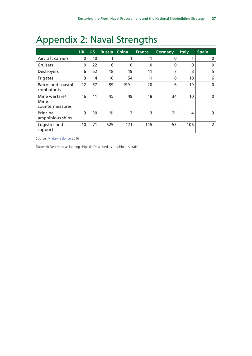## <span id="page-38-0"></span>Appendix 2: Naval Strengths

|                                          | <b>UK</b>   | <b>US</b> | <b>Russia</b> | <b>China</b> | <b>France</b> | <b>Germany</b> | <b>Italy</b> | Spain          |
|------------------------------------------|-------------|-----------|---------------|--------------|---------------|----------------|--------------|----------------|
| <b>Aircraft carriers</b>                 | 0           | 10        |               |              |               | 0              |              | 0              |
| Cruisers                                 | $\mathbf 0$ | 22        | 6             | 0            | $\mathbf{0}$  | $\mathbf{0}$   | $\Omega$     | 0              |
| <b>Destroyers</b>                        | 6           | 62        | 18            | 19           | 11            | 7              | 8            | 5              |
| Frigates                                 | 13          | 4         | 10            | 54           | 11            | 8              | 10           | 6              |
| Patrol and coastal<br>combatants         | 22          | 57        | 89            | $199+$       | 20            | 6              | 19           | $\mathbf{0}$   |
| Mine warfare/<br>Mine<br>countermeasures | 16          | 11        | 45            | 49           | 18            | 34             | 10           | 0              |
| Principal<br>amphibious ships            | 3           | 30        | 19i           | 3            | 3             | 2ii            | 4            | 3              |
| Logistics and<br>support                 | 10          | 71        | 625           | 171          | 145           | 53             | 106          | $\overline{2}$ |

Source: [Military Balance](https://www.iiss.org/en/publications/military%20balance/issues/the-military-balance-2016-d6c9) 2016

[Notes (i) Described as landing ships (ii) Described as amphibious craft]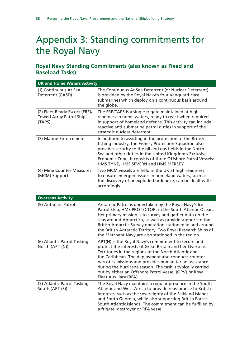## <span id="page-39-0"></span>Appendix 3: Standing commitments for the Royal Navy

### **Royal Navy Standing Commitments (also known as Fixed and Baseload Tasks)**

|                                                                           | <b>UK and Home Waters Activity</b>                                                                                                                                                                                                                                                                                                                |  |  |  |  |
|---------------------------------------------------------------------------|---------------------------------------------------------------------------------------------------------------------------------------------------------------------------------------------------------------------------------------------------------------------------------------------------------------------------------------------------|--|--|--|--|
| (1) Continuous At Sea<br>Deterrent (CASD)                                 | The Continuous At Sea Deterrent (or Nuclear Deterrent)<br>is provided by the Royal Navy's four Vanguard-class<br>submarines which deploy on a continuous basis around<br>the globe.                                                                                                                                                               |  |  |  |  |
| (2) Fleet Ready Escort (FRE)/<br><b>Towed Array Patrol Ship</b><br>(TAPS) | The FRE/TAPS is a single frigate maintained at high-<br>readiness in home waters, ready to react when required<br>in support of homeland defence. This activity can include<br>reactive anti-submarine patrol duties in support of the<br>strategic nuclear deterrent.                                                                            |  |  |  |  |
| (3) Marine Enforcement                                                    | In addition to assisting in the protection of the British<br>fishing industry, the Fishery Protection Squadron also<br>provides security to the oil and gas fields in the North<br>Sea and other duties in the United Kingdom's Exclusive<br>Economic Zone. It consists of three Offshore Patrol Vessels:<br>HMS TYNE, HMS SEVERN and HMS MERSEY. |  |  |  |  |
| (4) Mine Counter Measures<br>(MCM) Support                                | Two MCM vessels are held in the UK at high readiness<br>to ensure emergent issues in homeland waters, such as<br>the discovery of unexploded ordnance, can be dealt with<br>accordingly.                                                                                                                                                          |  |  |  |  |

| <b>Overseas Activity</b>                       |                                                                                                                                                                                                                                                                                                                                                                                                                                            |  |  |  |  |  |
|------------------------------------------------|--------------------------------------------------------------------------------------------------------------------------------------------------------------------------------------------------------------------------------------------------------------------------------------------------------------------------------------------------------------------------------------------------------------------------------------------|--|--|--|--|--|
| (5) Antarctic Patrol                           | Antarctic Patrol is undertaken by the Royal Navy's Ice<br>Patrol Ship, HMS PROTECTOR, in the South Atlantic Ocean.<br>Her primary mission is to survey and gather data on the<br>seas around Antarctica, as well as provide support to the<br>British Antarctic Survey operation stationed in and around<br>the British Antarctic Territory. Two Royal Research Ships of<br>the Merchant Navy are also stationed in the region.            |  |  |  |  |  |
| (6) Atlantic Patrol Tasking<br>North (APT (N)) | APT(N) is the Royal Navy's commitment to secure and<br>protect the interests of Great Britain and her Overseas<br>Territories in the regions of the North Atlantic and<br>the Caribbean. The deployment also conducts counter<br>narcotics missions and provides humanitarian assistance<br>during the hurricane season. The task is typically carried<br>out by either an Offshore Patrol Vessel (OPV) or Royal<br>Fleet Auxiliary (RFA). |  |  |  |  |  |
| (7) Atlantic Patrol Tasking<br>South (APT (S)) | The Royal Navy maintains a regular presence in the South<br>Atlantic and West Africa to provide reassurance to British<br>interests, such as the sovereignty of the Falkland Islands<br>and South Georgia, while also supporting British Forces<br>South Atlantic Islands. The commitment can be fulfilled by<br>a frigate, destroyer or RFA vessel.                                                                                       |  |  |  |  |  |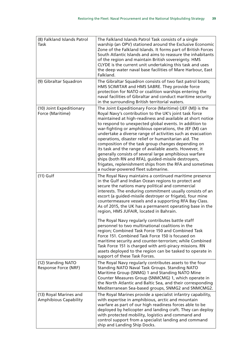| (8) Falkland Islands Patrol<br><b>Task</b>             | The Falkland Islands Patrol Task consists of a single<br>warship (an OPV) stationed around the Exclusive Economic<br>Zone of the Falkland Islands. It forms part of British Forces<br>South Atlantic Islands and aims to reassure the inhabitants<br>of the region and maintain British sovereignty. HMS<br>CLYDE is the current unit undertaking this task and uses<br>the deep water naval base facilities of Mare Harbour, East<br>Falkland.                                                                                                                                                                                                                                                                                                                 |
|--------------------------------------------------------|-----------------------------------------------------------------------------------------------------------------------------------------------------------------------------------------------------------------------------------------------------------------------------------------------------------------------------------------------------------------------------------------------------------------------------------------------------------------------------------------------------------------------------------------------------------------------------------------------------------------------------------------------------------------------------------------------------------------------------------------------------------------|
| (9) Gibraltar Squadron                                 | The Gibraltar Squadron consists of two fast patrol boats;<br>HMS SCIMITAR and HMS SABRE. They provide force<br>protection for NATO or coalition warships entering the<br>naval facilities of Gibraltar and conduct maritime security<br>in the surrounding British territorial waters.                                                                                                                                                                                                                                                                                                                                                                                                                                                                          |
| (10) Joint Expeditionary<br>Force (Maritime)           | The Joint Expeditionary Force (Maritime) (JEF (M)) is the<br>Royal Navy's contribution to the UK's joint task force<br>maintained at high-readiness and available at short notice<br>to respond to unexpected global events. In addition to<br>war-fighting or amphibious operations, the JEF (M) can<br>undertake a diverse range of activities such as evacuation<br>operations, disaster relief or humanitarian aid. The<br>composition of the task group changes depending on<br>its task and the range of available assets. However, it<br>generally consists of several large amphibious warfare<br>ships (both RN and RFA), guided-missile destroyers,<br>frigates, replenishment ships from the RFA and sometimes<br>a nuclear-powered fleet submarine. |
| $(11)$ Gulf                                            | The Royal Navy maintains a continued maritime presence<br>in the Gulf and Indian Ocean regions to protect and<br>secure the nations many political and commercial<br>interests. The enduring commitment usually consists of an<br>escort (a guided-missile destroyer or frigate), four mine<br>countermeasure vessels and a supporting RFA Bay Class.<br>As of 2015, the UK has a permanent operating base in the<br>region, HMS JUFAIR, located in Bahrain.                                                                                                                                                                                                                                                                                                    |
|                                                        | The Royal Navy regularly contributes battle staff<br>personnel to two multinational coalitions in the<br>region; Combined Task Force 150 and Combined Task<br>Force 151. Combined Task Force 150 is focused on<br>maritime security and counter-terrorism; while Combined<br>Task Force 151 is charged with anti-piracy missions. RN<br>assets deployed to the region can be tasked to operate in<br>support of these Task Forces.                                                                                                                                                                                                                                                                                                                              |
| (12) Standing NATO<br>Response Force (NRF)             | The Royal Navy regularly contributes assets to the four<br>Standing NATO Naval Task Groups. Standing NATO<br>Maritime Group (SNMG) 1 and Standing NATO Mine<br>Counter Measures Group (SNMCMG) 1, which operate in<br>the North Atlantic and Baltic Sea, and their corresponding<br>Mediterranean Sea-based groups, SNMG2 and SNMCMG2.                                                                                                                                                                                                                                                                                                                                                                                                                          |
| (13) Royal Marines and<br><b>Amphibious Capability</b> | The Royal Marines provide a specialist infantry capability,<br>with expertise in amphibious, arctic and mountain<br>warfare as part of our high readiness forces able to be<br>deployed by helicopter and landing craft. They can deploy<br>with protected mobility, logistics and command and<br>control support from a specialist landing and command<br>ship and Landing Ship Docks.                                                                                                                                                                                                                                                                                                                                                                         |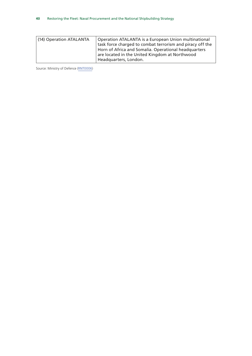| (14) Operation ATALANTA | Operation ATALANTA is a European Union multinational      |
|-------------------------|-----------------------------------------------------------|
|                         | task force charged to combat terrorism and piracy off the |
|                         | Horn of Africa and Somalia. Operational headquarters      |
|                         | are located in the United Kingdom at Northwood            |
|                         | Headquarters, London.                                     |

Source: Ministry of Defence ([RNT0006\)](http://data.parliament.uk/writtenevidence/committeeevidence.svc/evidencedocument/defence-committee/naval-procurement-type-26-and-type-45/written/42878.html)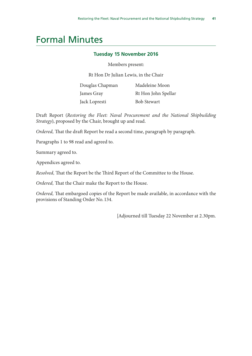### <span id="page-42-0"></span>Formal Minutes

#### **Tuesday 15 November 2016**

#### Members present:

Rt Hon Dr Julian Lewis, in the Chair

| Douglas Chapman | Madeleine Moon      |
|-----------------|---------------------|
| James Gray      | Rt Hon John Spellar |
| Jack Lopresti   | <b>Bob Stewart</b>  |

Draft Report (*Restoring the Fleet: Naval Procurement and the National Shipbuilding Strategy*), proposed by the Chair, brought up and read.

*Ordered,* That the draft Report be read a second time, paragraph by paragraph.

Paragraphs 1 to 98 read and agreed to.

Summary agreed to.

Appendices agreed to.

*Resolved,* That the Report be the Third Report of the Committee to the House.

*Ordered,* That the Chair make the Report to the House.

*Ordered,* That embargoed copies of the Report be made available, in accordance with the provisions of Standing Order No. 134.

[Adjourned till Tuesday 22 November at 2.30pm.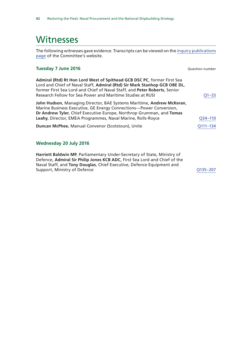### <span id="page-43-0"></span>**Witnesses**

The following witnesses gave evidence. Transcripts can be viewed on the [inquiry publications](https://www.parliament.uk/business/committees/committees-a-z/commons-select/defence-committee/inquiries/parliament-2015/royal-navy-type-26-and-45-16-17/publications/) [page](https://www.parliament.uk/business/committees/committees-a-z/commons-select/defence-committee/inquiries/parliament-2015/royal-navy-type-26-and-45-16-17/publications/) of the Committee's website.

#### **Tuesday 7 June 2016** *Question number*

| Admiral (Rtd) Rt Hon Lord West of Spithead GCB DSC PC, former First Sea<br>Lord and Chief of Naval Staff, Admiral (Rtd) Sir Mark Stanhop GCB OBE DL,<br>former First Sea Lord and Chief of Naval Staff, and Peter Roberts, Senior<br>Research Fellow for Sea Power and Maritime Studies at RUSI | $O1 - 33$ |
|-------------------------------------------------------------------------------------------------------------------------------------------------------------------------------------------------------------------------------------------------------------------------------------------------|-----------|
| John Hudson, Managing Director, BAE Systems Maritime, Andrew McKeran,<br>Marine Business Executive, GE Energy Connections-Power Conversion,<br>Dr Andrew Tyler, Chief Executive Europe, Northrop Grumman, and Tomas<br>Leahy, Director, EMEA Programmes, Naval Marine, Rolls-Royce              | Q34-110   |
| Duncan McPhee, Manual Convenor (Scotstoun), Unite                                                                                                                                                                                                                                               | Q111-134  |

#### **Wednesday 20 July 2016**

**Harriett Baldwin MP**, Parliamentary Under-Secretary of State, Ministry of Defence, **Admiral Sir Philip Jones KCB ADC**, First Sea Lord and Chief of the Naval Staff, and **Tony Douglas**, Chief Executive, Defence Equipment and Support, Ministry of Defence **Contract Contract Contract Contract Contract Contract Contract Contract Contract Contract Contract Contract Contract Contract Contract Contract Contract Contract Contract Contract Contract Con**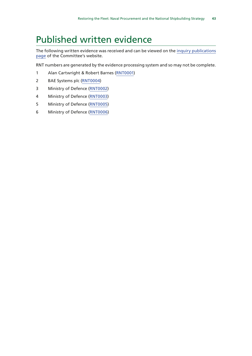### <span id="page-44-0"></span>Published written evidence

The following written evidence was received and can be viewed on the [inquiry publications](https://www.parliament.uk/business/committees/committees-a-z/commons-select/defence-committee/inquiries/parliament-2015/royal-navy-type-26-and-45-16-17/publications/) [page](https://www.parliament.uk/business/committees/committees-a-z/commons-select/defence-committee/inquiries/parliament-2015/royal-navy-type-26-and-45-16-17/publications/) of the Committee's website.

RNT numbers are generated by the evidence processing system and so may not be complete.

- 1 Alan Cartwright & Robert Barnes ([RNT0001\)](http://data.parliament.uk/WrittenEvidence/CommitteeEvidence.svc/EvidenceDocument/Defence/Naval%20Procurement%20Type%2026%20and%20Type%2045/written/35080.html)
- 2 BAE Systems plc ([RNT0004](http://data.parliament.uk/WrittenEvidence/CommitteeEvidence.svc/EvidenceDocument/Defence/Naval%20Procurement%20Type%2026%20and%20Type%2045/written/37236.html))
- 3 Ministry of Defence ([RNT0002\)](http://data.parliament.uk/WrittenEvidence/CommitteeEvidence.svc/EvidenceDocument/Defence/Naval%20Procurement%20Type%2026%20and%20Type%2045/written/35189.html)
- 4 Ministry of Defence ([RNT0003\)](http://data.parliament.uk/WrittenEvidence/CommitteeEvidence.svc/EvidenceDocument/Defence/Naval%20Procurement%20Type%2026%20and%20Type%2045/written/35190.html)
- 5 Ministry of Defence ([RNT0005](http://data.parliament.uk/WrittenEvidence/CommitteeEvidence.svc/EvidenceDocument/Defence/Naval%20Procurement%20Type%2026%20and%20Type%2045/written/37243.html))
- 6 Ministry of Defence ([RNT0006](http://data.parliament.uk/writtenevidence/committeeevidence.svc/evidencedocument/defence-committee/naval-procurement-type-26-and-type-45/written/42878.html))